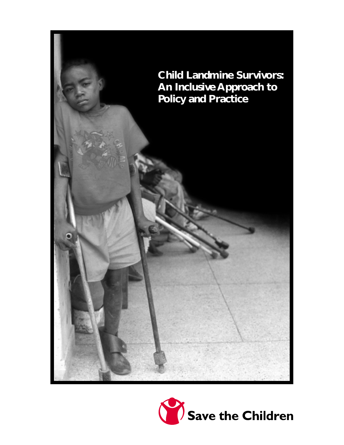

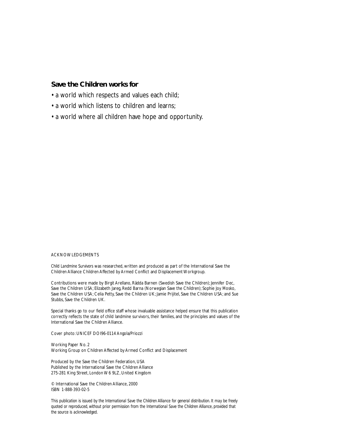# **Save the Children works for**

- a world which respects and values each child;
- a world which listens to children and learns;
- a world where all children have hope and opportunity.

#### ACKNOWLEDGEMENTS

*Child Landmine Survivors* was researched, written and produced as part of the International Save the Children Alliance Children Affected by Armed Conflict and Displacement Workgroup.

Contributions were made by Birgit Arellano, Rädda Barnen (Swedish Save the Children); Jennifer Dec, Save the Children USA; Elizabeth Jareg, Redd Barna (Norwegian Save the Children); Sophie Joy Mosko, Save the Children USA; Celia Petty, Save the Children UK; Jamie Prijitel, Save the Children USA; and Sue Stubbs, Save the Children UK.

Special thanks go to our field office staff whose invaluable assistance helped ensure that this publication correctly reflects the state of child landmine survivors, their families, and the principles and values of the International Save the Children Alliance.

Cover photo: UNICEF DOI96-0114 Angola/Priozzi

Working Paper No. 2 Working Group on Children Affected by Armed Conflict and Displacement

Produced by the Save the Children Federation, USA Published by the International Save the Children Alliance 275-281 King Street, London W6 9LZ, United Kingdom

© International Save the Children Alliance, 2000 ISBN 1-888-393-02-5

*This publication is issued by the International Save the Children Alliance for general distribution. It may be freely quoted or reproduced, without prior permission from the International Save the Children Alliance, provided that the source is acknowledged.*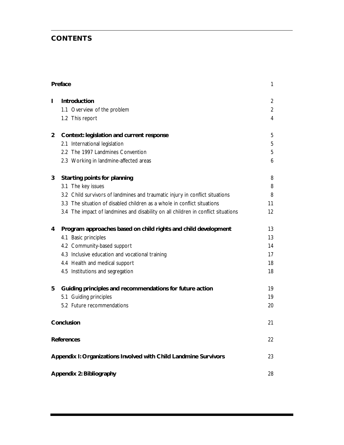# **CONTENTS**

| Preface                  |                                                                                   | 1              |
|--------------------------|-----------------------------------------------------------------------------------|----------------|
| ı                        | Introduction                                                                      | $\overline{2}$ |
|                          | 1.1 Overview of the problem                                                       | $\overline{2}$ |
|                          | 1.2 This report                                                                   | 4              |
| $\overline{2}$           | Context: legislation and current response                                         | 5              |
|                          | 2.1 International legislation                                                     | 5              |
|                          | 2.2 The 1997 Landmines Convention                                                 | 5              |
|                          | 2.3 Working in landmine-affected areas                                            | 6              |
| 3                        | <b>Starting points for planning</b>                                               | 8              |
|                          | 3.1 The key issues                                                                | 8              |
|                          | 3.2 Child survivors of landmines and traumatic injury in conflict situations      | 8              |
|                          | 3.3 The situation of disabled children as a whole in conflict situations          | 11             |
|                          | 3.4 The impact of landmines and disability on all children in conflict situations | 12             |
| 4                        | Program approaches based on child rights and child development                    | 13             |
|                          | 4.1 Basic principles                                                              | 13             |
|                          | 4.2 Community-based support                                                       | 14             |
|                          | 4.3 Inclusive education and vocational training                                   | 17             |
|                          | 4.4 Health and medical support                                                    | 18             |
|                          | 4.5 Institutions and segregation                                                  | 18             |
| 5                        | Guiding principles and recommendations for future action                          | 19             |
|                          | 5.1 Guiding principles                                                            | 19             |
|                          | 5.2 Future recommendations                                                        | 20             |
| Conclusion               |                                                                                   | 21             |
| <b>References</b>        |                                                                                   | 22             |
|                          | Appendix I: Organizations Involved with Child Landmine Survivors                  | 23             |
| Appendix 2: Bibliography |                                                                                   | 28             |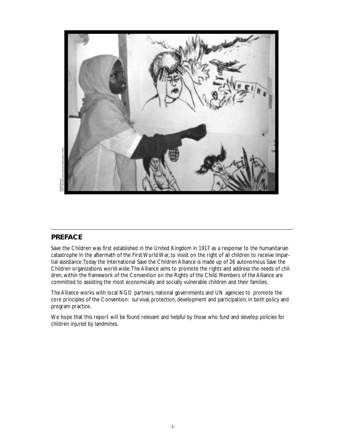

Rädda Barnen

# **PREFACE**

Save the Children was first established in the United Kingdom in 1917 as a response to the humanitarian catastrophe in the aftermath of the First World War, to insist on the right of all children to receive impartial assistance.Today the International Save the Children Alliance is made up of 26 autonomous Save the Children organizations world-wide.The Alliance aims to promote the rights and address the needs of children, within the framework of the Convention on the Rights of the Child. Members of the Alliance are committed to assisting the most economically and socially vulnerable children and their families.

The Alliance works with local NGO partners, national governments and UN agencies to promote the core principles of the Convention: survival, protection, development and participation, in both policy and program practice.

We hope that this report will be found relevant and helpful by those who fund and develop policies for children injured by landmines.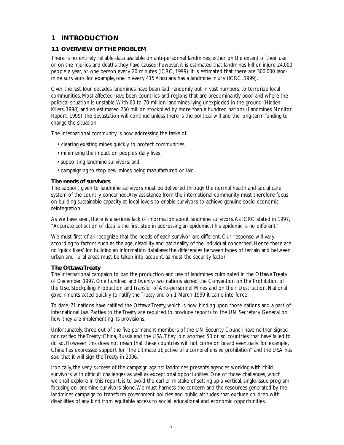# **1 INTRODUCTION**

# **1.1 OVERVIEW OF THE PROBLEM**

There is no entirely reliable data available on anti-personnel landmines, either on the extent of their use or on the injuries and deaths they have caused; however, it is estimated that landmines kill or injure 24,000 people a year, or one person every 20 minutes (ICRC, 1999). It is estimated that there are 300,000 landmine survivors: for example, one in every 415 Angolans has a landmine injury (ICRC, 1999).

Over the last four decades landmines have been laid, randomly but in vast numbers, to terrorize local communities. Most affected have been countries and regions that are predominantly poor and where the political situation is unstable.With 60 to 70 million landmines lying unexploded in the ground (*Hidden Killers*, 1998) and an estimated 250 million stockpiled by more than a hundred nations (Landmines Monitor Report, 1999), the devastation will continue unless there is the political will and the long-term funding to change the situation.

The international community is now addressing the tasks of:

- clearing existing mines quickly to protect communities;
- minimizing the impact on people's daily lives;
- supporting landmine survivors; and
- campaigning to stop new mines being manufactured or laid.

## **The needs of survivors**

The support given to landmine survivors must be delivered through the normal health and social care system of the country concerned.Any assistance from the international community must therefore focus on building sustainable capacity at local levels to enable survivors to achieve genuine socio-economic reintegration.

As we have seen, there is a serious lack of information about landmine survivors.As ICRC stated in 1997, "Accurate collection of data is the first step in addressing an epidemic.This epidemic is no different."

We must first of all recognize that the needs of each survivor are different. Our response will vary according to factors such as the age, disability and nationality of the individual concerned. Hence there are no 'quick fixes' for building an information database: the differences between types of terrain and between urban and rural areas must be taken into account, as must the security factor.

# **The Ottawa Treaty**

The international campaign to ban the production and use of landmines culminated in the Ottawa Treaty of December 1997. One hundred and twenty-two nations signed the Convention on the Prohibition of the Use, Stockpiling, Production and Transfer of Anti-personnel Mines and on their Destruction. National governments acted quickly to ratify the Treaty, and on 1 March 1999 it came into force.

To date, 71 nations have ratified the Ottawa Treaty, which is now binding upon those nations and a part of international law. Parties to the Treaty are required to produce reports to the UN Secretary General on how they are implementing its provisions.

Unfortunately, three out of the five permanent members of the UN Security Council have neither signed nor ratified the Treaty: China, Russia and the USA.They join another 50 or so countries that have failed to do so. However, this does not mean that these countries will not come on board eventually: for example, China has expressed support for "the ultimate objective of a comprehensive prohibition" and the USA has said that it will sign the Treaty in 2006.

Ironically, the very success of the campaign against landmines presents agencies working with child survivors with difficult challenges as well as exceptional opportunities. One of those challenges, which we shall explore in this report, is to avoid the earlier mistake of setting up a vertical, single-issue program focusing on landmine survivors alone.We must harness the concern and the resources generated by the landmines campaign to transform government policies and public attitudes that exclude children with disabilities of any kind from equitable access to social, educational and economic opportunities.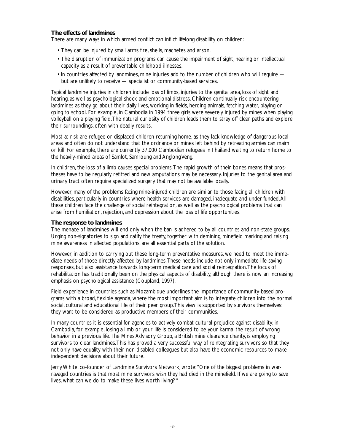## **The effects of landmines**

There are many ways in which armed conflict can inflict lifelong disability on children:

- They can be injured by small arms fire, shells, machetes and arson.
- The disruption of immunization programs can cause the impairment of sight, hearing or intellectual capacity as a result of preventable childhood illnesses.
- In countries affected by landmines, mine injuries add to the number of children who will require but are unlikely to receive — specialist or community-based services.

Typical landmine injuries in children include loss of limbs, injuries to the genital area, loss of sight and hearing, as well as psychological shock and emotional distress. Children continually risk encountering landmines as they go about their daily lives, working in fields, herding animals, fetching water, playing or going to school. For example, in Cambodia in 1994 three girls were severely injured by mines when playing volleyball on a playing field.The natural curiosity of children leads them to stray off clear paths and explore their surroundings, often with deadly results.

Most at risk are refugee or displaced children returning home, as they lack knowledge of dangerous local areas and often do not understand that the ordnance or mines left behind by retreating armies can maim or kill. For example, there are currently 37,000 Cambodian refugees in Thailand waiting to return home to the heavily-mined areas of Samlot, Samroung and Anglong Veng.

In children, the loss of a limb causes special problems.The rapid growth of their bones means that prostheses have to be regularly refitted and new amputations may be necessary. Injuries to the genital area and urinary tract often require specialized surgery that may not be available locally.

However, many of the problems facing mine-injured children are similar to those facing all children with disabilities, particularly in countries where health services are damaged, inadequate and under-funded.All these children face the challenge of social reintegration, as well as the psychological problems that can arise from humiliation, rejection, and depression about the loss of life opportunities.

### **The response to landmines**

The menace of landmines will end only when the ban is adhered to by all countries and non-state groups. Urging non-signatories to sign and ratify the treaty, together with demining, minefield marking and raising mine awareness in affected populations, are all essential parts of the solution.

However, in addition to carrying out these long-term preventative measures, we need to meet the immediate needs of those directly affected by landmines.These needs include not only immediate life-saving responses, but also assistance towards long-term medical care and social reintegration.The focus of rehabilitation has traditionally been on the physical aspects of disability, although there is now an increasing emphasis on psychological assistance (Coupland, 1997).

Field experience in countries such as Mozambique underlines the importance of community-based programs with a broad, flexible agenda, where the most important aim is to integrate children into the normal social, cultural and educational life of their peer group.This view is supported by survivors themselves: they want to be considered as productive members of their communities.

In many countries it is essential for agencies to actively combat cultural prejudice against disability; in Cambodia, for example, losing a limb or your life is considered to be your *karma*, the result of wrong behavior in a previous life.The Mines Advisory Group, a British mine clearance charity, is employing survivors to clear landmines.This has proved a very successful way of reintegrating survivors so that they not only have equality with their non-disabled colleagues but also have the economic resources to make independent decisions about their future.

Jerry White, co-founder of Landmine Survivors Network, wrote:"One of the biggest problems in warravaged countries is that most mine survivors wish they had died in the minefield. If we are going to save lives, what can we do to make these lives worth living? "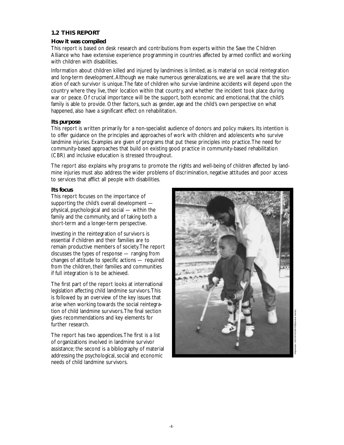# **1.2 THIS REPORT**

### **How it was compiled**

This report is based on desk research and contributions from experts within the Save the Children Alliance who have extensive experience programming in countries affected by armed conflict and working with children with disabilities.

Information about children killed and injured by landmines is limited, as is material on social reintegration and long-term development.Although we make numerous generalizations, we are well aware that the situation of each survivor is unique.The fate of children who survive landmine accidents will depend upon the country where they live, their location within that country, and whether the incident took place during war or peace. Of crucial importance will be the support, both economic and emotional, that the child's family is able to provide. Other factors, such as gender, age and the child's own perspective on what happened, also have a significant effect on rehabilitation.

## **Its purpose**

This report is written primarily for a non-specialist audience of donors and policy makers. Its intention is to offer guidance on the principles and approaches of work with children and adolescents who survive landmine injuries. Examples are given of programs that put these principles into practice.The need for community-based approaches that build on existing good practice in community-based rehabilitation (CBR) and inclusive education is stressed throughout.

The report also explains why programs to promote the rights and well-being of children affected by landmine injuries must also address the wider problems of discrimination, negative attitudes and poor access to services that afflict all people with disabilities.

## **Its focus**

This report focuses on the importance of supporting the child's overall development physical, psychological and social — within the family and the community, and of taking both a short-term and a longer-term perspective.

Investing in the reintegration of survivors is essential if children and their families are to remain productive members of society.The report discusses the types of response — ranging from changes of attitude to specific actions — required from the children, their families and communities if full integration is to be achieved.

The first part of the report looks at international legislation affecting child landmine survivors.This is followed by an overview of the key issues that arise when working towards the social reintegration of child landmine survivors.The final section gives recommendations and key elements for further research.

The report has two appendices.The first is a list of organizations involved in landmine survivor assistance; the second is a bibliography of material addressing the psychological, social and economic needs of child landmine survivors.



Afghanistan: UNICEF/HQ96-0185/Jeremy Hartley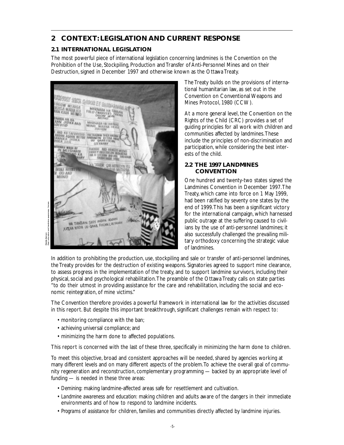# **2 CONTEXT: LEGISLATION AND CURRENT RESPONSE**

# **2.1 INTERNATIONAL LEGISLATION**

The most powerful piece of international legislation concerning landmines is the Convention on the Prohibition of the Use, Stockpiling, Production and Transfer of Anti-Personnel Mines and on their Destruction, signed in December 1997 and otherwise known as the Ottawa Treaty.



Peer education and landmine awareness, Yemen.Radda Barnen Rädda Barnen

The Treaty builds on the provisions of international humanitarian law, as set out in the Convention on Conventional Weapons and Mines Protocol, 1980 (CCW).

At a more general level, the Convention on the Rights of the Child (CRC) provides a set of guiding principles for all work with children and communities affected by landmines.These include the principles of non-discrimination and participation, while considering the best interests of the child.

# **2.2 THE 1997 LANDMINES CONVENTION**

One hundred and twenty-two states signed the Landmines Convention in December 1997.The Treaty, which came into force on 1 May 1999, had been ratified by seventy one states by the end of 1999.This has been a significant victory for the international campaign, which harnessed public outrage at the suffering caused to civilians by the use of anti-personnel landmines; it also successfully challenged the prevailing military orthodoxy concerning the strategic value of landmines.

In addition to prohibiting the production, use, stockpiling and sale or transfer of anti-personnel landmines, the Treaty provides for the destruction of existing weapons. Signatories agreed to support mine clearance, to assess progress in the implementation of the treaty, and to support landmine survivors, including their physical, social and psychological rehabilitation.The preamble of the Ottawa Treaty calls on state parties "to do their utmost in providing assistance for the care and rehabilitation, including the social and economic reintegration, of mine victims."

The Convention therefore provides a powerful framework in international law for the activities discussed in this report. But despite this important breakthrough, significant challenges remain with respect to:

- monitoring compliance with the ban;
- achieving universal compliance; and
- minimizing the harm done to affected populations.

This report is concerned with the last of these three, specifically in minimizing the harm done to children.

To meet this objective, broad and consistent approaches will be needed, shared by agencies working at many different levels and on many different aspects of the problem.To achieve the overall goal of community regeneration and reconstruction, complementary programming — backed by an appropriate level of funding — is needed in these three areas:

- *Demining:* making landmine-affected areas safe for resettlement and cultivation.
- *Landmine awareness and education:* making children and adults aware of the dangers in their immediate environments and of how to respond to landmine incidents.
- *Programs of assistance* for children, families and communities directly affected by landmine injuries.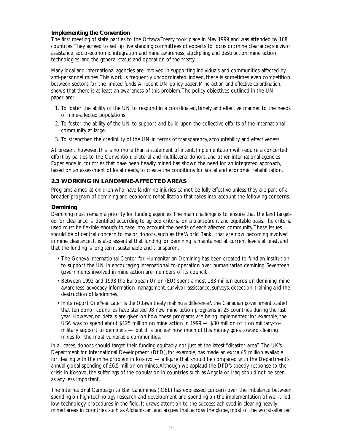# **Implementing the Convention**

The first meeting of state parties to the Ottawa Treaty took place in May 1999 and was attended by 108 countries.They agreed to set up five standing committees of experts to focus on: mine clearance; survivor assistance, socio-economic integration and mine awareness; stockpiling and destruction; mine action technologies; and the general status and operation of the treaty.

Many local and international agencies are involved in supporting individuals and communities affected by anti-personnel mines.This work is frequently uncoordinated; indeed, there is sometimes even competition between sectors for the limited funds.A recent UN policy paper, *Mine action and effective co-ordination,* shows that there is at least an awareness of this problem.The policy objectives outlined in the UN paper are:

- 1. To foster the ability of the UN to respond in a coordinated, timely and effective manner to the needs of mine-affected populations.
- 2. To foster the ability of the UN to support and build upon the collective efforts of the international community at large.
- 3. To strengthen the credibility of the UN in terms of transparency, accountability and effectiveness.

At present, however, this is no more than a statement of intent. Implementation will require a concerted effort by parties to the Convention, bilateral and multilateral donors, and other international agencies. Experience in countries that have been heavily mined has shown the need for an integrated approach, based on an assessment of local needs, to create the conditions for social and economic rehabilitation.

# **2.3 WORKING IN LANDMINE-AFFECTED AREAS**

Programs aimed at children who have landmine injuries cannot be fully effective unless they are part of a broader program of demining and economic rehabilitation that takes into account the following concerns.

# **Demining**

Demining must remain a priority for funding agencies.The main challenge is to ensure that the land targeted for clearance is identified according to agreed criteria, on a transparent and equitable basis.The criteria used must be flexible enough to take into account the needs of each affected community.These issues should be of central concern to major donors, such as the World Bank, that are now becoming involved in mine clearance. It is also essential that funding for demining is maintained at current levels at least, and that the funding is long term, sustainable and transparent.

- The Geneva International Center for Humanitarian Demining has been created to fund an institution to support the UN in encouraging international co-operation over humanitarian demining. Seventeen governments involved in mine action are members of its council.
- Between 1992 and 1998 the European Union (EU) spent almost 183 million euros on demining, mine awareness, advocacy, information management, survivor assistance, surveys, detection, training and the destruction of landmines.
- In its report *One Year Later: Is the Ottawa treaty making a difference?,* the Canadian government stated that ten donor countries have started 98 new mine action programs in 25 countries during the last year. However, no details are given on how these programs are being implemented: for example, the USA was to spend about \$125 million on mine action in 1999 — \$30 million of it on military-tomilitary support to deminers — but it is unclear how much of this money goes toward clearing mines for the most vulnerable communities.

In all cases, donors should target their funding equitably, not just at the latest "disaster area".The UK's Department for International Development (DfID), for example, has made an extra £5 million available for dealing with the mine problem in Kosovo — a figure that should be compared with the Department's annual global spending of £6.5 million on mines.Although we applaud the DfID's speedy response to the crisis in Kosovo, the sufferings of the population in countries such as Angola or Iraq should not be seen as any less important.

The International Campaign to Ban Landmines (ICBL) has expressed concern over the imbalance between spending on high-technology research and development and spending on the implementation of well-tried, low-technology procedures in the field. It draws attention to the success achieved in clearing heavilymined areas in countries such as Afghanistan, and argues that, across the globe, most of the worst-affected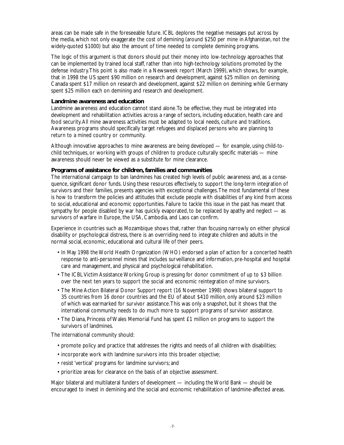areas can be made safe in the foreseeable future. ICBL deplores the negative messages put across by the media, which not only exaggerate the cost of demining (around \$250 per mine in Afghanistan, not the widely-quoted \$1000) but also the amount of time needed to complete demining programs.

The logic of this argument is that donors should put their money into low-technology approaches that can be implemented by trained local staff, rather than into high-technology solutions promoted by the defense industry.This point is also made in a Newsweek report (March 1999), which shows, for example, that in 1998 the US spent \$90 million on research and development, against \$25 million on demining; Canada spent \$17 million on research and development, against \$22 million on demining; while Germany spent \$25 million each on demining and research and development.

# **Landmine awareness and education**

Landmine awareness and education cannot stand alone.To be effective, they must be integrated into development and rehabilitation activities across a range of sectors, including education, health care and food security.All mine awareness activities must be adapted to local needs, culture and traditions. Awareness programs should specifically target refugees and displaced persons who are planning to return to a mined country or community.

Although innovative approaches to mine awareness are being developed — for example, using child-tochild techniques, or working with groups of children to produce culturally specific materials — mine awareness should never be viewed as a substitute for mine clearance.

## **Programs of assistance for children, families and communities**

The international campaign to ban landmines has created high levels of public awareness and, as a consequence, significant donor funds. Using these resources effectively, to support the long-term integration of survivors and their families, presents agencies with exceptional challenges.The most fundamental of these is how to transform the policies and attitudes that exclude people with disabilities of any kind from access to social, educational and economic opportunities. Failure to tackle this issue in the past has meant that sympathy for people disabled by war has quickly evaporated, to be replaced by apathy and neglect — as survivors of warfare in Europe, the USA, Cambodia, and Laos can confirm.

Experience in countries such as Mozambique shows that, rather than focusing narrowly on either physical disability or psychological distress, there is an overriding need to integrate children and adults in the normal social, economic, educational and cultural life of their peers.

- In May 1998 the World Health Organization (WHO) endorsed a plan of action for a concerted health response to anti-personnel mines that includes surveillance and information, pre-hospital and hospital care and management, and physical and psychological rehabilitation.
- The ICBL Victim Assistance Working Group is pressing for donor commitment of up to \$3 billion over the next ten years to support the social and economic reintegration of mine survivors.
- The Mine Action Bilateral Donor Support report (16 November 1998) shows bilateral support to 35 countries from 16 donor countries and the EU of about \$410 million, only around \$23 million of which was earmarked for survivor assistance.This was only a snapshot, but it shows that the international community needs to do much more to support programs of survivor assistance.
- The Diana, Princess of Wales Memorial Fund has spent £1 million on programs to support the survivors of landmines.

The international community should:

- promote policy and practice that addresses the rights and needs of all children with disabilities;
- incorporate work with landmine survivors into this broader objective;
- resist 'vertical' programs for landmine survivors; and
- prioritize areas for clearance on the basis of an objective assessment.

Major bilateral and multilateral funders of development — including the World Bank — should be encouraged to invest in demining and the social and economic rehabilitation of landmine-affected areas.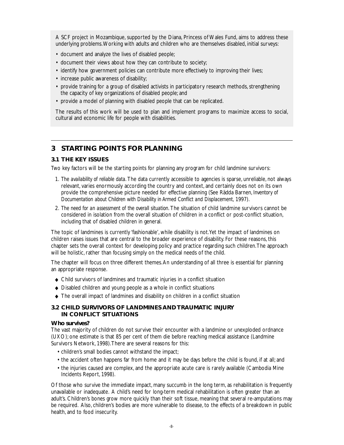A SCF project in Mozambique, supported by the Diana, Princess of Wales Fund, aims to address these underlying problems.Working with adults and children who are themselves disabled, initial surveys:

- document and analyze the lives of disabled people;
- document their views about how they can contribute to society;
- identify how government policies can contribute more effectively to improving their lives;
- increase public awareness of disability;
- provide training for a group of disabled activists in participatory research methods, strengthening the capacity of key organizations of disabled people; and
- provide a model of planning with disabled people that can be replicated.

The results of this work will be used to plan and implement programs to maximize access to social, cultural and economic life for people with disabilities.

# **3 STARTING POINTS FOR PLANNING**

# **3.1 THE KEY ISSUES**

Two key factors will be the starting points for planning any program for child landmine survivors:

- 1. *The availability of reliable data.* The data currently accessible to agencies is sparse, unreliable, not always relevant, varies enormously according the country and context, and certainly does not on its own provide the comprehensive picture needed for effective planning (See Rädda Barnen, *Inventory of Documentation about Children with Disability in Armed Conflict and Displacement,* 1997).
- 2. *The need for an assessment of the overall situation.* The situation of child landmine survivors cannot be considered in isolation from the overall situation of children in a conflict or post-conflict situation, including that of disabled children in general.

The topic of landmines is currently 'fashionable', while disability is not.Yet the impact of landmines on children raises issues that are central to the broader experience of disability. For these reasons, this chapter sets the overall context for developing policy and practice regarding such children.The approach will be holistic, rather than focusing simply on the medical needs of the child.

The chapter will focus on three different themes.An understanding of all three is essential for planning an appropriate response.

- ◆ Child survivors of landmines and traumatic injuries in a conflict situation
- ◆ Disabled children and young people as a whole in conflict situations
- ◆ The overall impact of landmines and disability on children in a conflict situation

# **3.2 CHILD SURVIVORS OF LANDMINES AND TRAUMATIC INJURY IN CONFLICT SITUATIONS**

# **Who survives?**

The vast majority of children do not survive their encounter with a landmine or unexploded ordnance (UXO); one estimate is that 85 per cent of them die before reaching medical assistance (Landmine Survivors Network, 1998).There are several reasons for this:

• children's small bodies cannot withstand the impact;

- the accident often happens far from home and it may be days before the child is found, if at all; and
- the injuries caused are complex, and the appropriate acute care is rarely available (Cambodia Mine Incidents Report, 1998).

Of those who survive the immediate impact, many succumb in the long term, as rehabilitation is frequently unavailable or inadequate. A child's need for long-term medical rehabilitation is often greater than an adult's. Children's bones grow more quickly than their soft tissue, meaning that several re-amputations may be required. Also, children's bodies are more vulnerable to disease, to the effects of a breakdown in public health, and to food insecurity.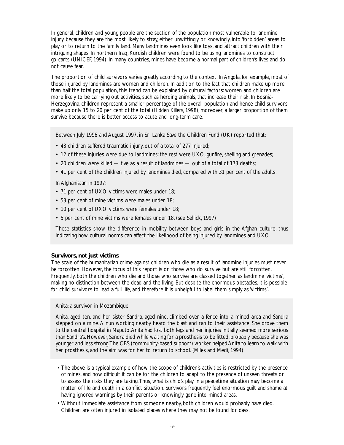In general, children and young people are the section of the population most vulnerable to landmine injury, because they are the most likely to stray, either unwittingly or knowingly, into 'forbidden' areas to play or to return to the family land. Many landmines even look like toys, and attract children with their intriguing shapes. In northern Iraq, Kurdish children were found to be using landmines to construct go-carts (UNICEF, 1994). In many countries, mines have become a normal part of children's lives and do not cause fear.

The proportion of child survivors varies greatly according to the context. In Angola, for example, most of those injured by landmines are women and children. In addition to the fact that children make up more than half the total population, this trend can be explained by cultural factors: women and children are more likely to be carrying out activities, such as herding animals, that increase their risk. In Bosnia-Herzegovina, children represent a smaller percentage of the overall population and hence child survivors make up only 15 to 20 per cent of the total (*Hidden Killers*, 1998); moreover, a larger proportion of them survive because there is better access to acute and long-term care.

Between July 1996 and August 1997, in Sri Lanka Save the Children Fund (UK) reported that:

- 43 children suffered traumatic injury, out of a total of 277 injured;
- 12 of these injuries were due to landmines; the rest were UXO, gunfire, shelling and grenades;
- 20 children were killed five as a result of landmines out of a total of 173 deaths;
- 41 per cent of the children injured by landmines died, compared with 31 per cent of the adults.

In Afghanistan in 1997:

- 71 per cent of UXO victims were males under 18;
- 53 per cent of mine victims were males under 18;
- 10 per cent of UXO victims were females under 18;
- 5 per cent of mine victims were females under 18. (see Sellick, 1997)

These statistics show the difference in mobility between boys and girls in the Afghan culture, thus indicating how cultural norms can affect the likelihood of being injured by landmines and UXO.

### **Survivors, not just victims**

The scale of the humanitarian crime against children who die as a result of landmine injuries must never be forgotten. However, the focus of this report is on those who do survive but are still forgotten. Frequently, both the children who die and those who survive are classed together as landmine 'victims', making no distinction between the dead and the living. But despite the enormous obstacles, it is possible for child survivors to lead a full life, and therefore it is unhelpful to label them simply as 'victims'.

## Anita: a survivor in Mozambique

Anita, aged ten, and her sister Sandra, aged nine, climbed over a fence into a mined area and Sandra stepped on a mine. A nun working nearby heard the blast and ran to their assistance. She drove them to the central hospital in Maputo.Anita had lost both legs and her injuries initially seemed more serious than Sandra's. However, Sandra died while waiting for a prosthesis to be fitted, probably because she was younger and less strong.The CBS (community-based support) worker helped Anita to learn to walk with her prosthesis, and the aim was for her to return to school. (Miles and Medi, 1994)

- The above is a typical example of how the scope of children's activities is restricted by the presence of mines, and how difficult it can be for the children to adapt to the presence of unseen threats or to assess the risks they are taking.Thus, what is child's play in a peacetime situation may become a matter of life and death in a conflict situation. Survivors frequently feel enormous guilt and shame at having ignored warnings by their parents or knowingly gone into mined areas.
- Without immediate assistance from someone nearby, both children would probably have died. Children are often injured in isolated places where they may not be found for days.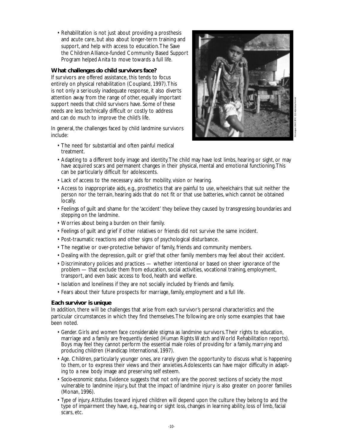• Rehabilitation is not just about providing a prosthesis and acute care, but also about longer-term training and support, and help with access to education.The Save the Children Alliance-funded Community Based Support Program helped Anita to move towards a full life.

# **What challenges do child survivors face?**

If survivors are offered assistance, this tends to focus entirely on physical rehabilitation (Coupland, 1997).This is not only a seriously inadequate response, it also diverts attention away from the range of other, equally important support needs that child survivors have. Some of these needs are less technically difficult or costly to address and can do much to improve the child's life.

In general, the challenges faced by child landmine survivors include:

• The need for substantial and often painful medical treatment.



- Adapting to a different body image and identity.The child may have lost limbs, hearing or sight, or may have acquired scars and permanent changes in their physical, mental and emotional functioning.This can be particularly difficult for adolescents.
- Lack of access to the necessary aids for mobility, vision or hearing.
- Access to inappropriate aids, e.g., prosthetics that are painful to use, wheelchairs that suit neither the person nor the terrain, hearing aids that do not fit or that use batteries, which cannot be obtained locally.
- Feelings of guilt and shame for the 'accident' they believe they caused by transgressing boundaries and stepping on the landmine.
- Worries about being a burden on their family.
- Feelings of guilt and grief if other relatives or friends did not survive the same incident.
- Post-traumatic reactions and other signs of psychological disturbance.
- The negative or over-protective behavior of family, friends and community members.
- Dealing with the depression, guilt or grief that other family members may feel about their accident.
- Discriminatory policies and practices whether intentional or based on sheer ignorance of the problem — that exclude them from education, social activities, vocational training, employment, transport, and even basic access to food, health and welfare.
- Isolation and loneliness if they are not socially included by friends and family.
- Fears about their future prospects for marriage, family, employment and a full life.

# **Each survivor is unique**

In addition, there will be challenges that arise from each survivor's personal characteristics and the particular circumstances in which they find themselves.The following are only some examples that have been noted.

- *Gender.* Girls and women face considerable stigma as landmine survivors.Their rights to education, marriage and a family are frequently denied (Human Rights Watch and World Rehabilitation reports). Boys may feel they cannot perform the essential male roles of providing for a family, marrying and producing children (Handicap International, 1997).
- *Age.* Children, particularly younger ones, are rarely given the opportunity to discuss what is happening to them, or to express their views and their anxieties.Adolescents can have major difficulty in adapting to a new body image and preserving self esteem.
- *Socio-economic status.* Evidence suggests that not only are the poorest sections of society the most vulnerable to landmine injury, but that the impact of landmine injury is also greater on poorer families (Monan, 1996).
- *Type of injury.* Attitudes toward injured children will depend upon the culture they belong to and the type of impairment they have, e.g., hearing or sight loss, changes in learning ability, loss of limb, facial scars, etc.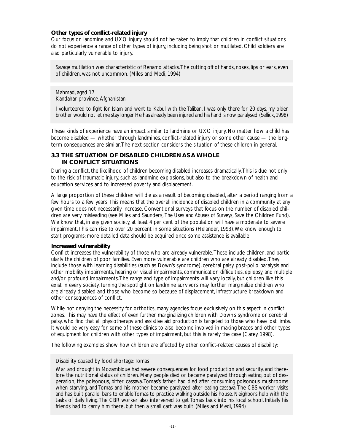# **Other types of conflict-related injury**

Our focus on landmine and UXO injury should not be taken to imply that children in conflict situations do not experience a range of other types of injury, including being shot or mutilated. Child soldiers are also particularly vulnerable to injury.

Savage mutilation was characteristic of Renamo attacks.The cutting off of hands, noses, lips or ears, even of children, was not uncommon. (Miles and Medi, 1994)

Mahmad, aged 17 Kandahar province,Afghanistan

I volunteered to fight for Islam and went to Kabul with the Taliban. I was only there for 20 days, my older brother would not let me stay longer.He has already been injured and his hand is now paralysed.(Sellick,1998)

These kinds of experience have an impact similar to landmine or UXO injury. No matter how a child has become disabled — whether through landmines, conflict-related injury or some other cause — the longterm consequences are similar.The next section considers the situation of these children in general.

# **3.3 THE SITUATION OF DISABLED CHILDREN AS A WHOLE IN CONFLICT SITUATIONS**

During a conflict, the likelihood of children becoming disabled increases dramatically.This is due not only to the risk of traumatic injury, such as landmine explosions, but also to the breakdown of health and education services and to increased poverty and displacement.

A large proportion of these children will die as a result of becoming disabled, after a period ranging from a few hours to a few years.This means that the overall incidence of disabled children in a community at any given time does not necessarily increase. Conventional surveys that focus on the number of disabled children are very misleading (see Miles and Saunders, *The Uses and Abuses of Surveys,* Save the Children Fund). We know that, in any given society, at least 4 per cent of the population will have a moderate to severe impairment.This can rise to over 20 percent in some situations (Helander, 1993).We know enough to start programs; more detailed data should be acquired once some assistance is available.

# **Increased vulnerability**

Conflict increases the vulnerability of those who are already vulnerable.These include children, and particularly the children of poor families. Even more vulnerable are children who are already disabled.They include those with learning disabilities (such as Down's syndrome), cerebral palsy, post-polio paralysis and other mobility impairments, hearing or visual impairments, communication difficulties, epilepsy, and multiple and/or profound impairments.The range and type of impairments will vary locally, but children like this exist in every society.Turning the spotlight on landmine survivors may further marginalize children who are already disabled and those who become so because of displacement, infrastructure breakdown and other consequences of conflict.

While not denying the necessity for orthotics, many agencies focus exclusively on this aspect in conflict zones.This may have the effect of even further marginalizing children with Down's syndrome or cerebral palsy, who find that all physiotherapy and assistive aid production is targeted to those who have lost limbs. It would be very easy for some of these clinics to also become involved in making braces and other types of equipment for children with other types of impairment, but this is rarely the case (Carey, 1998).

The following examples show how children are affected by other conflict-related causes of disability:

# Disability caused by food shortage:Tomas

War and drought in Mozambique had severe consequences for food production and security, and therefore the nutritional status of children. Many people died or became paralyzed through eating, out of desperation, the poisonous, bitter cassava.Tomas's father had died after consuming poisonous mushrooms when starving, and Tomas and his mother became paralyzed after eating cassava.The CBS worker visits and has built parallel bars to enable Tomas to practice walking outside his house. Neighbors help with the tasks of daily living.The CBR worker also intervened to get Tomas back into his local school. Initially his friends had to carry him there, but then a small cart was built. (Miles and Medi, 1994)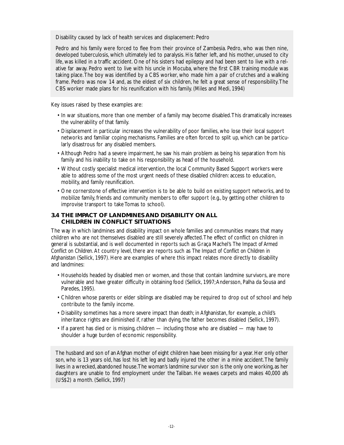Disability caused by lack of health services and displacement: Pedro

Pedro and his family were forced to flee from their province of Zambesia. Pedro, who was then nine, developed tuberculosis, which ultimately led to paralysis. His father left, and his mother, unused to city life, was killed in a traffic accident. One of his sisters had epilepsy and had been sent to live with a relative far away. Pedro went to live with his uncle in Mocuba, where the first CBR training module was taking place.The boy was identified by a CBS worker, who made him a pair of crutches and a walking frame. Pedro was now 14 and, as the eldest of six children, he felt a great sense of responsibility.The CBS worker made plans for his reunification with his family. (Miles and Medi, 1994)

Key issues raised by these examples are:

- In war situations, more than one member of a family may become disabled.This dramatically increases the vulnerability of that family.
- Displacement in particular increases the vulnerability of poor families, who lose their local support networks and familiar coping mechanisms. Families are often forced to split up, which can be particularly disastrous for any disabled members.
- Although Pedro had a severe impairment, he saw his main problem as being his separation from his family and his inability to take on his responsibility as head of the household.
- Without costly specialist medical intervention, the local Community Based Support workers were able to address some of the most urgent needs of these disabled children: access to education, mobility, and family reunification.
- One cornerstone of effective intervention is to be able to build on existing support networks, and to mobilize family, friends and community members to offer support (e.g., by getting other children to improvise transport to take Tomas to school).

# **3.4 THE IMPACT OF LANDMINES AND DISABILITY ON ALL CHILDREN IN CONFLICT SITUATIONS**

The way in which landmines and disability impact on whole families and communities means that many children who are not themselves disabled are still severely affected.The effect of conflict on children in general is substantial, and is well documented in reports such as Graça Machel's *The Impact of Armed Conflict on Children.* At country level, there are reports such as *The Impact of Conflict on Children in Afghanistan* (Sellick, 1997). Here are examples of where this impact relates more directly to disability and landmines:

- Households headed by disabled men or women, and those that contain landmine survivors, are more vulnerable and have greater difficulty in obtaining food (Sellick, 1997; Andersson, Palha da Sousa and Paredes, 1995).
- Children whose parents or elder siblings are disabled may be required to drop out of school and help contribute to the family income.
- Disability sometimes has a more severe impact than death; in Afghanistan, for example, a child's inheritance rights are diminished if, rather than dying, the father becomes disabled (Sellick, 1997).
- If a parent has died or is missing, children including those who are disabled may have to shoulder a huge burden of economic responsibility.

The husband and son of an Afghan mother of eight children have been missing for a year. Her only other son, who is 13 years old, has lost his left leg and badly injured the other in a mine accident.The family lives in a wrecked, abandoned house.The woman's landmine survivor son is the only one working, as her daughters are unable to find employment under the Taliban. He weaves carpets and makes 40,000 afs (US\$2) a month. (Sellick, 1997)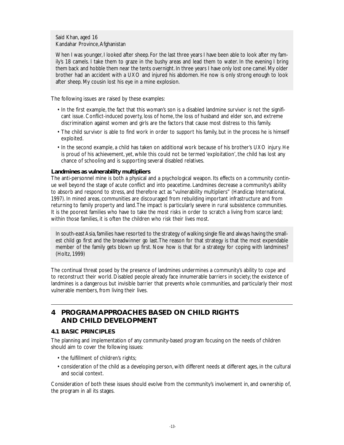Said Khan, aged 16 Kandahar Province,Afghanistan

When I was younger, I looked after sheep. For the last three years I have been able to look after my family's 18 camels. I take them to graze in the bushy areas and lead them to water. In the evening I bring them back and hobble them near the tents overnight. In three years I have only lost one camel. My older brother had an accident with a UXO and injured his abdomen. He now is only strong enough to look after sheep. My cousin lost his eye in a mine explosion.

The following issues are raised by these examples:

- In the first example, the fact that this woman's son is a disabled landmine survivor is not the significant issue. Conflict-induced poverty, loss of home, the loss of husband and elder son, and extreme discrimination against women and girls are the factors that cause most distress to this family.
- The child survivor is able to find work in order to support his family, but in the process he is himself exploited.
- In the second example, a child has taken on additional work because of his brother's UXO injury. He is proud of his achievement, yet, while this could not be termed 'exploitation', the child has lost any chance of schooling and is supporting several disabled relatives.

# **Landmines as vulnerability multipliers**

The anti-personnel mine is both a physical and a psychological weapon. Its effects on a community continue well beyond the stage of acute conflict and into peacetime. Landmines decrease a community's ability to absorb and respond to stress, and therefore act as "vulnerability multipliers" (Handicap International, 1997). In mined areas, communities are discouraged from rebuilding important infrastructure and from returning to family property and land.The impact is particularly severe in rural subsistence communities. It is the poorest families who have to take the most risks in order to scratch a living from scarce land; within those families, it is often the children who risk their lives most.

In south-east Asia,families have resorted to the strategy of walking single file and always having the smallest child go first and the breadwinner go last.The reason for that strategy is that the most expendable member of the family gets blown up first. Now how is that for a strategy for coping with landmines? (Holtz, 1999)

The continual threat posed by the presence of landmines undermines a community's ability to cope and to reconstruct their world. Disabled people already face innumerable barriers in society; the existence of landmines is a dangerous but invisible barrier that prevents whole communities, and particularly their most vulnerable members, from living their lives.

# **4 PROGRAM APPROACHES BASED ON CHILD RIGHTS AND CHILD DEVELOPMENT**

# **4.1 BASIC PRINCIPLES**

The planning and implementation of any community-based program focusing on the needs of children should aim to cover the following issues:

- the fulfillment of children's rights;
- consideration of the child as a developing person, with different needs at different ages, in the cultural and social context.

Consideration of both these issues should evolve from the community's involvement in, and ownership of, the program in all its stages.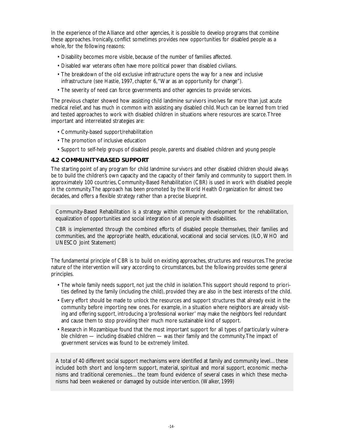In the experience of the Alliance and other agencies, it is possible to develop programs that combine these approaches. Ironically, conflict sometimes provides new opportunities for disabled people as a whole, for the following reasons:

- Disability becomes more visible, because of the number of families affected.
- Disabled war veterans often have more political power than disabled civilians.
- The breakdown of the old exclusive infrastructure opens the way for a new and inclusive infrastructure (see Hastie, 1997, chapter 6,"War as an opportunity for change").
- The severity of need can force governments and other agencies to provide services.

The previous chapter showed how assisting child landmine survivors involves far more than just acute medical relief, and has much in common with assisting any disabled child. Much can be learned from tried and tested approaches to work with disabled children in situations where resources are scarce.Three important and interrelated strategies are:

- Community-based support/rehabilitation
- The promotion of inclusive education
- Support to self-help groups of disabled people, parents and disabled children and young people

# **4.2 COMMUNITY-BASED SUPPORT**

The starting point of any program for child landmine survivors and other disabled children should always be to build the children's own capacity and the capacity of their family and community to support them. In approximately 100 countries, Community-Based Rehabilitation (CBR) is used in work with disabled people in the community.The approach has been promoted by the World Health Organization for almost two decades, and offers a flexible strategy rather than a precise blueprint.

Community-Based Rehabilitation is a strategy within community development for the rehabilitation, equalization of opportunities and social integration of all people with disabilities.

CBR is implemented through the combined efforts of disabled people themselves, their families and communities, and the appropriate health, educational, vocational and social services. (ILO, WHO and UNESCO Joint Statement)

The fundamental principle of CBR is to build on existing approaches, structures and resources.The precise nature of the intervention will vary according to circumstances, but the following provides some general principles.

- The whole family needs support, not just the child in isolation.This support should respond to priorities defined by the family (including the child), provided they are also in the best interests of the child.
- Every effort should be made to unlock the resources and support structures that already exist in the community before importing new ones. For example, in a situation where neighbors are already visiting and offering support, introducing a 'professional worker' may make the neighbors feel redundant and cause them to stop providing their much more sustainable kind of support.
- Research in Mozambique found that the most important support for all types of particularly vulnerable children — including disabled children — was their family and the community.The impact of government services was found to be extremely limited.

A total of 40 different social support mechanisms were identified at family and community level…these included both short and long-term support, material, spiritual and moral support, economic mechanisms and traditional ceremonies…the team found evidence of several cases in which these mechanisms had been weakened or damaged by outside intervention. (Walker, 1999)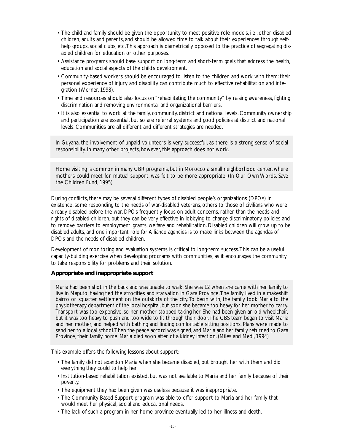- The child and family should be given the opportunity to meet positive role models, i.e., other disabled children, adults and parents, and should be allowed time to talk about their experiences through selfhelp groups, social clubs, etc. This approach is diametrically opposed to the practice of segregating disabled children for education or other purposes.
- Assistance programs should base support on long-term and short-term goals that address the health, education and social aspects of the child's development.
- Community-based workers should be encouraged to listen to the children and work with them: their personal experience of injury and disability can contribute much to effective rehabilitation and integration (Werner, 1998).
- Time and resources should also focus on "rehabilitating the community" by raising awareness, fighting discrimination and removing environmental and organizational barriers.
- It is also essential to work at the family, community, district and national levels. Community ownership and participation are essential, but so are referral systems and good policies at district and national levels. Communities are all different and different strategies are needed.

In Guyana, the involvement of unpaid volunteers is very successful, as there is a strong sense of social responsibility. In many other projects, however, this approach does not work.

Home visiting is common in many CBR programs, but in Morocco a small neighborhood center, where mothers could meet for mutual support, was felt to be more appropriate. (In Our Own Words, Save the Children Fund, 1995)

During conflicts, there may be several different types of disabled people's organizations (DPOs) in existence, some responding to the needs of war-disabled veterans, others to those of civilians who were already disabled before the war. DPOs frequently focus on adult concerns, rather than the needs and rights of disabled children, but they can be very effective in lobbying to change discriminatory policies and to remove barriers to employment, grants, welfare and rehabilitation. Disabled children will grow up to be disabled adults, and one important role for Alliance agencies is to make links between the agendas of DPOs and the needs of disabled children.

Development of monitoring and evaluation systems is critical to long-term success.This can be a useful capacity-building exercise when developing programs with communities, as it encourages the community to take responsibility for problems and their solution.

## **Appropriate and inappropriate support**

Maria had been shot in the back and was unable to walk. She was 12 when she came with her family to live in Maputo, having fled the atrocities and starvation in Gaza Province.The family lived in a makeshift bairro or squatter settlement on the outskirts of the city.To begin with, the family took Maria to the physiotherapy department of the local hospital, but soon she became too heavy for her mother to carry. Transport was too expensive, so her mother stopped taking her. She had been given an old wheelchair, but it was too heavy to push and too wide to fit through their door.The CBS team began to visit Maria and her mother, and helped with bathing and finding comfortable sitting positions. Plans were made to send her to a local school.Then the peace accord was signed, and Maria and her family returned to Gaza Province, their family home. Maria died soon after of a kidney infection. (Miles and Medi, 1994)

This example offers the following lessons about support:

- The family did not abandon Maria when she became disabled, but brought her with them and did everything they could to help her.
- Institution-based rehabilitation existed, but was not available to Maria and her family because of their poverty.
- The equipment they had been given was useless because it was inappropriate.
- The Community Based Support program was able to offer support to Maria and her family that would meet her physical, social and educational needs.
- The lack of such a program in her home province eventually led to her illness and death.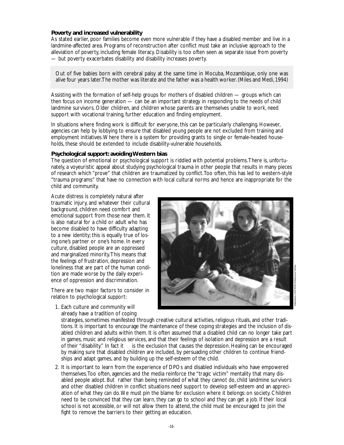# **Poverty and increased vulnerability**

As stated earlier, poor families become even more vulnerable if they have a disabled member and live in a landmine-affected area. Programs of reconstruction after conflict must take an inclusive approach to the alleviation of poverty, including female literacy. Disability is too often seen as separate issue from poverty — but poverty exacerbates disability and disability increases poverty.

Out of five babies born with cerebral palsy at the same time in Mocuba, Mozambique, only one was alive four years later.The mother was literate and the father was a health worker.(Miles and Medi,1994)

Assisting with the formation of self-help groups for mothers of disabled children — groups which can then focus on income generation — can be an important strategy in responding to the needs of child landmine survivors. Older children, and children whose parents are themselves unable to work, need support with vocational training, further education and finding employment.

In situations where finding work is difficult for everyone, this can be particularly challenging. However, agencies can help by lobbying to ensure that disabled young people are not excluded from training and employment initiatives.Where there is a system for providing grants to single or female-headed households, these should be extended to include disability-vulnerable households.

### **Psychological support: avoiding Western bias**

The question of emotional or psychological support is riddled with potential problems.There is, unfortunately, a voyeuristic appeal about studying psychological trauma in other people that results in many pieces of research which "prove" that children are traumatized by conflict.Too often, this has led to western-style "trauma programs" that have no connection with local cultural norms and hence are inappropriate for the child and community.

Acute distress is completely natural after traumatic injury, and whatever their cultural background, children need comfort and emotional support from those near them. It is also natural for a child or adult who has become disabled to have difficulty adapting to a new identity; this is equally true of losing one's partner or one's home. In every culture, disabled people are an oppressed and marginalized minority.This means that the feelings of frustration, depression and loneliness that are part of the human condition are made worse by the daily experience of oppression and discrimination.

There are two major factors to consider in relation to psychological support:



1. Each culture and community will already have a tradition of coping

strategies, sometimes manifested through creative cultural activities, religious rituals, and other traditions. It is important to encourage the maintenance of these coping strategies and the inclusion of disabled children and adults within them. It is often assumed that a disabled child can no longer take part in games, music and religious services, and that their feelings of isolation and depression are a result of their "disability." In fact it is the exclusion that causes the depression. Healing can be encourage is the exclusion that causes the depression. Healing can be encouraged by making sure that disabled children are included, by persuading other children to continue friendships and adapt games, and by building up the self-esteem of the child.

2. It is important to learn from the experience of DPOs and disabled individuals who have empowered themselves.Too often, agencies and the media reinforce the "tragic victim" mentality that many disabled people adopt. But rather than being reminded of what they cannot do, child landmine survivors and other disabled children in conflict situations need support to develop self-esteem and an appreciation of what they *can* do.We must pin the blame for exclusion where it belongs: on society. Children need to be convinced that they can learn, they can go to school and they can get a job. If their local school is not accessible, or will not allow them to attend, the child must be encouraged to join the fight to remove the barriers to their getting an education.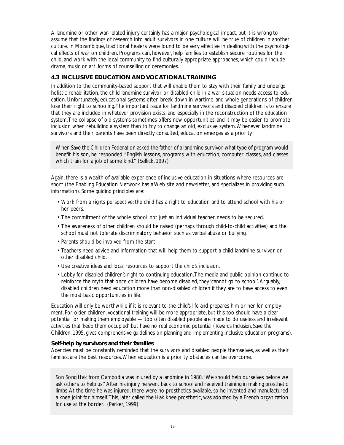A landmine or other war-related injury certainly has a major psychological impact, but it is wrong to assume that the findings of research into adult survivors in one culture will be true of children in another culture. In Mozambique, traditional healers were found to be very effective in dealing with the psychological effects of war on children. Programs can, however, help families to establish secure routines for the child, and work with the local community to find culturally appropriate approaches, which could include drama, music or art, forms of counselling or ceremonies.

# **4.3 INCLUSIVE EDUCATION AND VOCATIONAL TRAINING**

In addition to the community-based support that will enable them to stay with their family and undergo holistic rehabilitation, the child landmine survivor or disabled child in a war situation needs access to education. Unfortunately, educational systems often break down in wartime, and whole generations of children lose their right to schooling.The important issue for landmine survivors and disabled children is to ensure that they are included in whatever provision exists, and especially in the reconstruction of the education system.The collapse of old systems sometimes offers new opportunities, and it may be easier to promote inclusion when rebuilding a system than to try to change an old, exclusive system.Whenever landmine survivors and their parents have been directly consulted, education emerges as a priority.

When Save the Children Federation asked the father of a landmine survivor what type of program would benefit his son, he responded,"English lessons, programs with education, computer classes, and classes which train for a job of some kind." (Sellick, 1997)

Again, there is a wealth of available experience of inclusive education in situations where resources are short (the Enabling Education Network has a Web site and newsletter, and specializes in providing such information). Some guiding principles are:

- Work from a rights perspective: the child has a right to education and to attend school with his or her peers.
- The commitment of the whole school, not just an individual teacher, needs to be secured.
- The awareness of other children should be raised (perhaps through child-to-child activities) and the school must not tolerate discriminatory behavior such as verbal abuse or bullying.
- Parents should be involved from the start.
- Teachers need advice and information that will help them to support a child landmine survivor or other disabled child.
- Use creative ideas and local resources to support the child's inclusion.
- Lobby for disabled children's right to continuing education.The media and public opinion continue to reinforce the myth that once children have become disabled, they 'cannot go to school'.Arguably, disabled children need education more than non-disabled children if they are to have access to even the most basic opportunities in life.

Education will only be worthwhile if it is relevant to the child's life and prepares him or her for employment. For older children, vocational training will be more appropriate, but this too should have a clear potential for making them employable — too often disabled people are made to do useless and irrelevant activities that 'keep them occupied' but have no real economic potential (*Towards Inclusion*, Save the Children, 1995, gives comprehensive guidelines on planning and implementing inclusive education programs).

# **Self-help by survivors and their families**

Agencies must be constantly reminded that the survivors and disabled people themselves, as well as their families, are the best resources.When education is a priority, obstacles can be overcome.

Son Song Hak from Cambodia was injured by a landmine in 1980."We should help ourselves before we ask others to help us." After his injury, he went back to school and received training in making prosthetic limbs.At the time he was injured, there were no prosthetics available, so he invented and manufactured a knee joint for himself.This, later called the Hak knee prosthetic, was adopted by a French organization for use at the border. (Parker, 1999)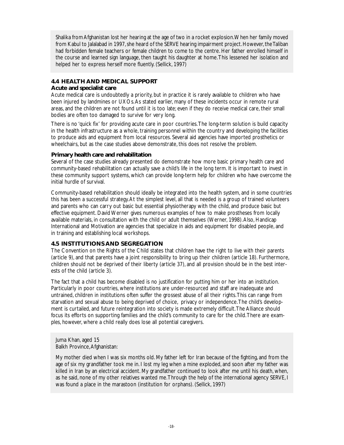Shalika from Afghanistan lost her hearing at the age of two in a rocket explosion.When her family moved from Kabul to Jalalabad in 1997, she heard of the SERVE hearing impairment project. However, the Taliban had forbidden female teachers or female children to come to the centre. Her father enrolled himself in the course and learned sign language, then taught his daughter at home.This lessened her isolation and helped her to express herself more fluently. (Sellick, 1997)

# **4.4 HEALTH AND MEDICAL SUPPORT**

# **Acute and specialist care**

Acute medical care is undoubtedly a priority, but in practice it is rarely available to children who have been injured by landmines or UXOs.As stated earlier, many of these incidents occur in remote rural areas, and the children are not found until it is too late; even if they do receive medical care, their small bodies are often too damaged to survive for very long.

There is no 'quick fix' for providing acute care in poor countries.The long-term solution is build capacity in the health infrastructure as a whole, training personnel within the country and developing the facilities to produce aids and equipment from local resources. Several aid agencies have imported prosthetics or wheelchairs, but as the case studies above demonstrate, this does not resolve the problem.

# **Primary health care and rehabilitation**

Several of the case studies already presented do demonstrate how more basic primary health care and community-based rehabilitation can actually save a child's life in the long term. It is important to invest in these community support systems, which can provide long-term help for children who have overcome the initial hurdle of survival.

Community-based rehabilitation should ideally be integrated into the health system, and in some countries this has been a successful strategy.At the simplest level, all that is needed is a group of trained volunteers and parents who can carry out basic but essential physiotherapy with the child, and produce basic but effective equipment. David Werner gives numerous examples of how to make prostheses from locally available materials, in consultation with the child or adult themselves (Werner, 1998).Also, Handicap International and Motivation are agencies that specialize in aids and equipment for disabled people, and in training and establishing local workshops.

# **4.5 INSTITUTIONS AND SEGREGATION**

The Convention on the Rights of the Child states that children have the right to live with their parents (article 9), and that parents have a joint responsibility to bring up their children (article 18). Furthermore, children should not be deprived of their liberty (article 37), and all provision should be in the best interests of the child (article 3).

The fact that a child has become disabled is no justification for putting him or her into an institution. Particularly in poor countries, where institutions are under-resourced and staff are inadequate and untrained, children in institutions often suffer the grossest abuse of all their rights.This can range from starvation and sexual abuse to being deprived of choice, privacy or independence.The child's development is curtailed, and future reintegration into society is made extremely difficult.The Alliance should focus its efforts on supporting families and the child's community to care for the child.There are examples, however, where a child really does lose all potential caregivers.

Juma Khan, aged 15 Balkh Province,Afghanistan:

My mother died when I was six months old. My father left for Iran because of the fighting, and from the age of six my grandfather took me in. I lost my leg when a mine exploded, and soon after my father was killed in Iran by an electrical accident. My grandfather continued to look after me until his death, when, as he said, none of my other relatives wanted me.Through the help of the international agency SERVE, I was found a place in the marastoon (institution for orphans). (Sellick, 1997)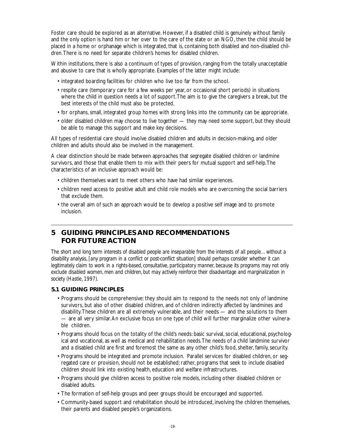Foster care should be explored as an alternative. However, if a disabled child is genuinely without family and the only option is hand him or her over to the care of the state or an NGO, then the child should be placed in a home or orphanage which is integrated, that is, containing both disabled and non-disabled children.There is no need for separate children's homes for disabled children.

Within institutions, there is also a continuum of types of provision, ranging from the totally unacceptable and abusive to care that is wholly appropriate. Examples of the latter might include:

- integrated boarding facilities for children who live too far from the school.
- respite care (temporary care for a few weeks per year, or occasional short periods) in situations where the child in question needs a lot of support.The aim is to give the caregivers a break, but the best interests of the child must also be protected.
- for orphans, small, integrated group homes with strong links into the community can be appropriate.
- older disabled children may choose to live together they may need some support, but they should be able to manage this support and make key decisions.

All types of residential care should involve disabled children and adults in decision-making, and older children and adults should also be involved in the management.

A clear distinction should be made between approaches that segregate disabled children or landmine survivors, and those that enable them to mix with their peers for mutual support and self-help.The characteristics of an inclusive approach would be:

- children themselves want to meet others who have had similar experiences.
- children need access to positive adult and child role models who are overcoming the social barriers that exclude them.
- the overall aim of such an approach would be to develop a positive self image and to promote inclusion.

# **5 GUIDING PRINCIPLES AND RECOMMENDATIONS FOR FUTURE ACTION**

*The short and long term interests of disabled people are inseparable from the interests of all people…without a disability analysis, [any program in a conflict or post-conflict situation] should perhaps consider whether it can legitimately claim to work in a rights-based, consultative, participatory manner, because its programs may not only exclude disabled women, men and children, but may actively reinforce their disadvantage and marginalization in society (Hastie, 1997).*

# **5.1 GUIDING PRINCIPLES**

- Programs should be comprehensive: they should aim to respond to the needs not only of landmine survivors, but also of other disabled children, and of children indirectly affected by landmines and disability.These children are all extremely vulnerable, and their needs — and the solutions to them — are all very similar.An exclusive focus on one type of child will further marginalize other vulnerable children.
- Programs should focus on the totality of the child's needs: basic survival, social, educational, psychological and vocational, as well as medical and rehabilitation needs.The needs of a child landmine survivor and a disabled child are first and foremost the same as any other child's: food, shelter, family, security.
- Programs should be integrated and promote inclusion. Parallel services for disabled children, or segregated care or provision, should not be established; rather, programs that seek to include disabled children should link into existing health, education and welfare infrastructures.
- Programs should give children access to positive role models, including other disabled children or disabled adults.
- The formation of self-help groups and peer groups should be encouraged and supported.
- Community-based support and rehabilitation should be introduced, involving the children themselves, their parents and disabled people's organizations.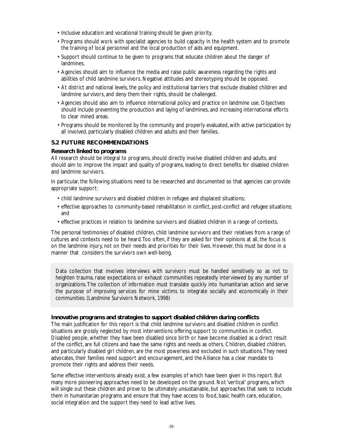- Inclusive education and vocational training should be given priority.
- Programs should work with specialist agencies to build capacity in the health system and to promote the training of local personnel and the local production of aids and equipment.
- Support should continue to be given to programs that educate children about the danger of landmines.
- Agencies should aim to influence the media and raise public awareness regarding the rights and abilities of child landmine survivors. Negative attitudes and stereotyping should be opposed.
- At district and national levels, the policy and institutional barriers that exclude disabled children and landmine survivors, and deny them their rights, should be challenged.
- Agencies should also aim to influence international policy and practice on landmine use. Objectives should include preventing the production and laying of landmines, and increasing international efforts to clear mined areas.
- Programs should be monitored by the community and properly evaluated, with active participation by all involved, particularly disabled children and adults and their families.

# **5.2 FUTURE RECOMMENDATIONS**

# **Research linked to programs**

All research should be integral to programs, should directly involve disabled children and adults, and should aim to improve the impact and quality of programs, leading to direct benefits for disabled children and landmine survivors.

In particular, the following situations need to be researched and documented so that agencies can provide appropriate support:

- child landmine survivors and disabled children in refugee and displaced situations;
- effective approaches to community-based rehabilitation in conflict, post-conflict and refugee situations; and
- effective practices in relation to landmine survivors and disabled children in a range of contexts.

The personal testimonies of disabled children, child landmine survivors and their relatives from a range of cultures and contexts need to be heard.Too often, if they are asked for their opinions at all, the focus is on the landmine injury, not on their needs and priorities for their lives. However, this must be done in a manner that considers the survivors own well-being.

Data collection that involves interviews with survivors must be handled sensitively so as not to heighten trauma, raise expectations or exhaust communities repeatedly interviewed by any number of organizations.The collection of information must translate quickly into humanitarian action and serve the purpose of improving services for mine victims to integrate socially and economically in their communities. (Landmine Survivors Network, 1998)

# **Innovative programs and strategies to support disabled children during conflicts**

The main justification for this report is that child landmine survivors and disabled children in conflict situations are grossly neglected by most interventions offering support to communities in conflict. Disabled people, whether they have been disabled since birth or have become disabled as a direct result of the conflict, are full citizens and have the same rights and needs as others. Children, disabled children, and particularly disabled girl children, are the most powerless and excluded in such situations.They need advocates, their families need support and encouragement, and the Alliance has a clear mandate to promote their rights and address their needs.

Some effective interventions already exist, a few examples of which have been given in this report. But many more pioneering approaches need to be developed on the ground. Not 'vertical' programs, which will single out these children and prove to be ultimately unsustainable, but approaches that seek to include them in humanitarian programs and ensure that they have access to food, basic health care, education, social integration and the support they need to lead active lives.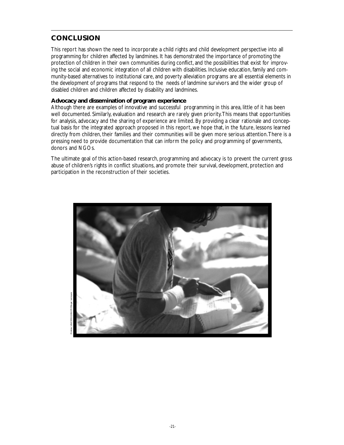# **CONCLUSION**

This report has shown the need to incorporate a child rights and child development perspective into all programming for children affected by landmines. It has demonstrated the importance of promoting the protection of children in their own communities during conflict, and the possibilities that exist for improving the social and economic integration of all children with disabilities. Inclusive education, family and community-based alternatives to institutional care, and poverty alleviation programs are all essential elements in the development of programs that respond to the needs of landmine survivors and the wider group of disabled children and children affected by disability and landmines.

# **Advocacy and dissemination of program experience**

Although there are examples of innovative and successful programming in this area, little of it has been well documented. Similarly, evaluation and research are rarely given priority. This means that opportunities for analysis, advocacy and the sharing of experience are limited. By providing a clear rationale and conceptual basis for the integrated approach proposed in this report, we hope that, in the future, lessons learned directly from children, their families and their communities will be given more serious attention.There is a pressing need to provide documentation that can inform the policy and programming of governments, donors and NGOs.

The ultimate goal of this action-based research, programming and advocacy is to prevent the current gross abuse of children's rights in conflict situations, and promote their survival, development, protection and participation in the reconstruction of their societies.



Pristina: UNICEF/HQ99-0717/Roger Lemoyne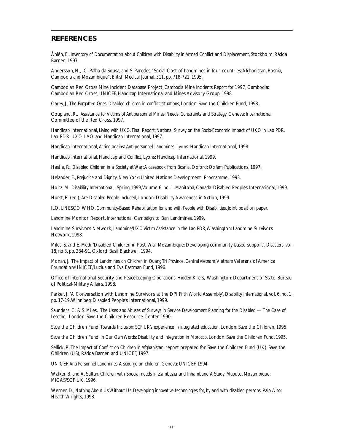# **REFERENCES**

Åhlén, E., *Inventory of Documentation about Children with Disability in Armed Conflict and Displacement*, Stockholm: Rädda Barnen, 1997.

Andersson, N., C. Palha da Sousa, and S. Paredes, "Social Cost of Landmines in four countries: Afghanistan, Bosnia, Cambodia and Mozambique", *British Medical Journal*, 311, pp. 718-721, 1995.

Cambodian Red Cross Mine Incident Database Project, *Cambodia Mine Incidents Report for 1997*, Cambodia: Cambodian Red Cross, UNICEF, Handicap International and Mines Advisory Group, 1998.

Carey, J., *The Forgotten Ones: Disabled children in conflict situations*, London: Save the Children Fund, 1998.

Coupland, R., *Assistance for Victims of Antipersonnel Mines: Needs, Constraints and Strategy*, Geneva: International Committee of the Red Cross, 1997.

Handicap International, *Living with UXO. Final Report: National Survey on the Socio-Economic Impact of UXO in Lao PDR*, Lao PDR: UXO LAO and Handicap International, 1997.

Handicap International, *Acting against Anti-personnel Landmines*, Lyons: Handicap International, 1998.

Handicap International, *Handicap and Conflict*, Lyons: Handicap International, 1999.

Hastie, R., *Disabled Children in a Society at War:A casebook from Bosnia*, Oxford: Oxfam Publications, 1997.

Helander, E., *Prejudice and Dignity*, New York: United Nations Development Programme, 1993.

Holtz, M., *Disability International*, Spring 1999,Volume 6, no. 1. Manitoba, Canada: Disabled Peoples International, 1999.

Hurst, R. (ed.), *Are Disabled People Included*, London: Disability Awareness in Action, 1999.

ILO, UNESCO,WHO, *Community-Based Rehabilitation for and with People with Disabilities*, Joint position paper.

Landmine Monitor Report, International Campaign to Ban Landmines, 1999.

Landmine Survivors Network, *Landmine/UXO Victim Assistance in the Lao PDR*,Washington: Landmine Survivors Network, 1998.

Miles, S. and E. Medi,'Disabled Children in Post-War Mozambique: Developing community-based support', *Disasters*, vol. 18, no.3, pp. 284-91, Oxford: Basil Blackwell, 1994.

Monan, J., *The Impact of Landmines on Children in Quang Tri Province, Central Vietnam*,Vietnam Veterans of America Foundation/UNICEF/Lucius and Eva Eastman Fund, 1996.

Office of International Security and Peacekeeping Operations, *Hidden Killers*, Washington: Department of State, Bureau of Political-Military Affairs, 1998.

Parker, J.,'A Conversation with Landmine Survivors at the DPI Fifth World Assembly', *Disability International*, vol. 6, no. 1, pp. 17-19,Winnipeg: Disabled People's International, 1999.

Saunders, C. & S. Miles, *The Uses and Abuses of Surveys in Service Development Planning for the Disabled — The Case of Lesotho*, London: Save the Children Resource Center, 1990.

Save the Children Fund, *Towards Inclusion: SCF UK's experience in integrated education*, London: Save the Children, 1995.

Save the Children Fund, *In Our Own Words: Disability and integration in Morocco*, London: Save the Children Fund, 1995.

Sellick, P., *The Impact of Conflict on Children in Afghanistan*, report prepared for Save the Children Fund (UK), Save the Children (US), Rädda Barnen and UNICEF, 1997.

UNICEF, *Anti-Personnel Landmines:A scourge on children*, Geneva: UNICEF, 1994.

Walker, B. and A. Sultan, *Children with Special needs in Zambezia and Inhambane:A Study*, Maputo, Mozambique: MICAS/SCF UK, 1996.

Werner, D., *Nothing About Us Without Us: Developing innovative technologies for, by and with disabled persons*, Palo Alto: Health Wrights, 1998.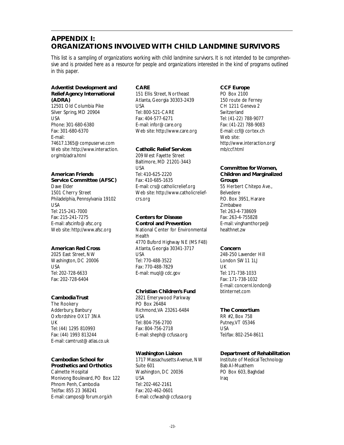# **APPENDIX I: ORGANIZATIONS INVOLVED WITH CHILD LANDMINE SURVIVORS**

*This list is a sampling of organizations working with child landmine survivors. It is not intended to be comprehensive and is provided here as a resource for people and organizations interested in the kind of programs outlined in this paper.*

### **Adventist Development and Relief Agency International (ADRA)**

12501 Old Columbia Pike Silver Spring, MD 20904 USA Phone: 301-680-6380 Fax: 301-680-6370 E-mail: 74617.1365@compuserve.com Web site: http://www.interaction. org/mb/adra.html

# **American Friends**

**Service Committee (AFSC)** Dave Elder 1501 Cherry Street Philadelphia, Pennsylvania 19102 USA Tel: 215-241-7000 Fax: 215-241-7275 E-mail: afscinfo@afsc.org Web site: http://www.afsc.org

# **American Red Cross**

2025 East Street, NW Washington, DC 20006 USA Tel: 202-728-6633 Fax: 202-728-6404

# **Cambodia Trust**

The Rookery Adderbury, Banbury Oxfordshire OX17 3NA UK Tel: (44) 1295 810993 Fax: (44) 1993 813244 E-mail: camtrust@atlas.co.uk

# **Cambodian School for Prosthetics and Orthotics**

Calmette Hospital Monivong Boulevard, PO Box 122 Phnom Penh, Cambodia Tel/fax: 855 23 368241 E-mail: campos@forum.org.kh

#### **CARE** 151 Ellis Street, Northeast Atlanta, Georgia 30303-2439 USA Tel: 800-521-CARE Fax: 404-577-6271 E-mail: infor@care.org Web site: http://www.care.org

## **Catholic Relief Services**

209 West Fayette Street Baltimore, MD 21201-3443 USA Tel: 410-625-2220 Fax: 410-685-1635 E-mail: crs@catholicrelief.org Web site: http://www.catholicreliefcrs.org

# **Centers for Disease**

**Control and Prevention** National Center for Environmental Health 4770 Buford Highway NE (MS F48) Atlanta, Georgia 30341-3717 USA Tel: 770-488-3522 Fax: 770-488-7829 E-mail: muql@cdc.gov

# **Christian Children's Fund**

2821 Emerywood Parkway PO Box 26484 Richmond,VA 23261-6484 USA Tel: 804-756-2700 Fax: 804-756-2718 E-mail: sheph@ccfusa.org

# **Washington Liaison**

1717 Massachusetts Avenue, NW Suite 601 Washington, DC 20036 USA Tel: 202-462-2161 Fax: 202-462-0601 E-mail: ccfwash@ccfusa.org

## **CCF Europe**

PO Box 2100 150 route de Ferney CH 1211 Geneva 2 Switzerland Tel: (41-22) 788-9077 Fax: (41-22) 788-9083 E-mail: ccf@cortex.ch Web site: http://www.interaction.org/ mb/ccf.html

#### **Committee for Women, Children and Marginalized Groups**

55 Herbert Chitepo Ave., Belvedere P.O. Box 3951, Harare Zimbabwe Tel: 263-4-738609 Fax: 263-4-755828 E-mail: vinghamthorpe@ healthnet.zw

#### **Concern**

248-250 Lavender Hill London SW11 1LJ UK Tel: 171-738-1033 Fax: 171-738-1032 E-mail: concernl.london@ btinternet.com

#### **The Consortium**

RR #2, Box 758 Putney,VT 05346 USA Tel/fax: 802-254-8611

# **Department of Rehabilitation**

Institute of Medical Technology Bab Al-Muathem PO Box 603, Baghdad Iraq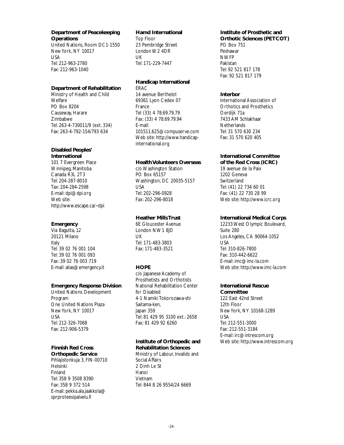**Department of Peacekeeping Operations**

United Nations, Room DC1-1550 New York, NY 10017 USA Tel: 212-963-2780 Fax: 212-963-1040

### **Department of Rehabilitation**

Ministry of Health and Child **Welfare** PO Box 8204 Causeway, Harare Zimbabwe Tel: 263-4-730011/9 (ext. 334) Fax: 263-4-792-154/793 634

#### **Disabled Peoples' International**

101 7 Evergreen Place Winnipeg, Manitoba Canada R3L 2T3 Tel: 204-287-8010 Tax: 204-284-2598 E-mail: dpi@dpi.org Web site: http://www.escape.ca/~dpi

### **Emergency**

Via Bagutta, 12 20121 Milano Italy Tel: 39 02 76 001 104 Tel: 39 02 76 001 093 Fax: 39 02 76 003 719 E-mail: alias@emergency.it

#### **Emergency Response Division**

United Nations Development Program One United Nations Plaza New York, NY 10017 USA Tel: 212-326-7068 Fax: 212-906-5379

# **Finnish Red Cross**

**Orthopedic Service** Pihlajistonkuja 3, FIN-00710 Helsinki Finland Tel: 358 9 3508 8390 Fax: 358 9 372 514 E-mail: pekka.ala.jaakkola@ sprproteesipalvelu.fi

#### **Hamd International**

Top Floor 23 Pembridge Street London W2 4DR UK Tel: 171-229-7447

#### **Handicap International** ERAC

14 avenue Berthelot 69361 Lyon Cedex 07 France Tel (33) 4 78.69.79.79 Fax: (33) 4 78.69.79.94 E-mail: 101511.625@compuserve.com Web site: http://www.handicapinternational.org

## **Health Volunteers Overseas**

c/o Washington Station PO Box 65157 Washington, DC 20035-5157 USA Tel: 202-296-0928 Fax: 202-296-8018

# **Heather Mills Trust**

6E Gloucester Avenue London NW1 8JD UK Tel: 171-483-3803 Fax: 171-483-3521

# **HOPE**

c/o Japanese Academy of Prosthetists and Orthotists National Rehabilitation Center for Disabled 4-1 Namiki Tokorozawa-shi Saitama-ken, Japan 359 Tel: 81 429 95 3100 ext.: 2658 Fax: 81 429 92 6260

# **Institute of Orthopedic and**

**Rehabilitation Sciences** Ministry of Labour, Invalids and Social Affairs 2 Dinh Le St Hanoi Vietnam Tel: 844 8 26 9554/24 6669

# **Institute of Prosthetic and**

**Orthotic Sciences (PETCOT)** PO Box 751 Peshawar NWFP Pakistan Tel: 92 521 817 178 Fax: 92 521 817 179

### **Interbor**

International Association of Orthotics and Prosthetics Oerdijk 71a 7433 AM Schlakhaar **Netherlands** Tel: 31 570 630 234 Fax: 31 570 620 405

#### **International Committee of the Red Cross (ICRC)**

19 avenue de la Paix 1202 Geneva **Switzerland** Tel: (41) 22 734 60 01 Fax: (41) 22 730 28 99 Web site: http://www.icrc.org

# **International Medical Corps**

12233 West Olympic Boulevard, Suite 280 Los Angeles, CA 90064-1052 USA Tel: 310-826-7800 Fax: 310-442-6622 E-mail: imc@imc-la.com Web site: http://www.imc-la.com

# **International Rescue**

**Committee** 122 East 42nd Street 12th Floor New York, NY 10168-1289 USA Tel: 212-551-3000 Fax: 212-551-3184 E-mail: irc@intrescom.org Web site: http://www.intrescom.org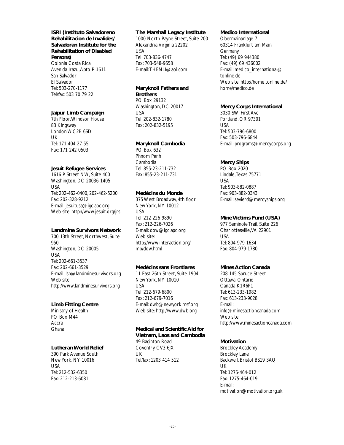## **ISRI (Instituto Salvadoreno Rehabilitacion de Invalides/ Salvadoran Institute for the Rehabilitation of Disabled Persons)** Colonia Costa Rica Avenida Irazu,Apto P 1611 San Salvador

El Salvador Tel: 503-270-1177 Tel/fax: 503 70 79 22

#### **Jaipur Limb Campaign**

7th Floor,Windsor House 83 Kingsway London WC2B 6SD UK Tel: 171 404 27 55 Fax: 171 242 0503

#### **Jesuit Refugee Services**

1616 P Street NW, Suite 400 Washington, DC 20036-1405 USA Tel: 202-462-0400, 202-462-5200 Fax: 202-328-9212 E-mail: jesuitusa@igc.apc.org Web site: http://www.jesuit.org/jrs

## **Landmine Survivors Network**

700 13th Street, Northwest, Suite 950 Washington, DC 20005 USA Tel: 202-661-3537 Fax: 202-661-3529 E-mail: lsn@landminesurvivors.org Web site: http://www.landminesurvivors.org

# **Limb Fitting Centre**

Ministry of Health PO Box M44 **Accra** Ghana

#### **Lutheran World Relief**

390 Park Avenue South New York, NY 10016 USA Tel: 212-532-6350 Fax: 212-213-6081

#### **The Marshall Legacy Institute**

1000 North Payne Street, Suite 200 Alexandria,Virginia 22202 USA Tel: 703-836-4747 Fax: 703-548-9658 E-mail:THEMLI@aol.com

# **Maryknoll Fathers and Brothers**

PO Box 29132 Washington, DC 20017 USA Tel: 202-832-1780 Fax: 202-832-5195

## **Maryknoll Cambodia**

PO Box 632 Phnom Penh Cambodia Tel: 855-23-211-732 Fax: 855-23-211-731

## **Medécins du Monde**

375 West Broadway, 4th floor New York, NY 10012 USA Tel: 212-226-9890 Fax: 212-226-7026 E-mail: dow@igc.apc.org Web site: http://www.interaction.org/ mb/dow.html

# **Medécins sans Frontiares**

11 East 26th Street, Suite 1904 New York, NY 10010 USA Tel: 212-679-6800 Fax: 212-679-7016 E-mail: dwb@newyork.msf.org Web site: http://www.dwb.org

#### **Medical and Scientific Aid for**

**Vietnam, Laos and Cambodia** 49 Baginton Road Coventry CV3 6JX UK Tel/fax: 1203 414 512

#### **Medico International**

Obermainanlage 7 60314 Frankfurt am Main Germany Tel: (49) 69 944380 Fax: (49) 69 436002 E-mail: medico\_international@ tonline.de Web site: http://home.tonline.de/ home/medico.de

#### **Mercy Corps International**

3030 SW First Ave Portland, OR 97301 USA Tel: 503-796-6800 Fax: 503-796-6844 E-mail: programs@mercycorps.org

#### **Mercy Ships**

PO Box 2020 Lindale,Texas 75771 USA Tel: 903-882-0887 Fax: 903-882-0343 E-mail: sevierd@mercyships.org

#### **Mine Victims Fund (USA)**

977 Seminole Trail, Suite 226 Charlottesville,VA 22901 USA Tel: 804-979-1634 Fax: 804-979-1780

# **Mines Action Canada**

208 145 Spruce Street Ottawa, Ontario Canada K1R6P1 Tel: 613-233-1982 Fax: 613-233-9028 E-mail: info@minesactioncanada.com Web site: http://www.minesactioncanada.com

#### **Motivation**

Brockley Academy Brockley Lane Backwell, Bristol BS19 3AQ UK Tel: 1275-464-012 Fax: 1275-464-019 E-mail: motivation@motivation.org.uk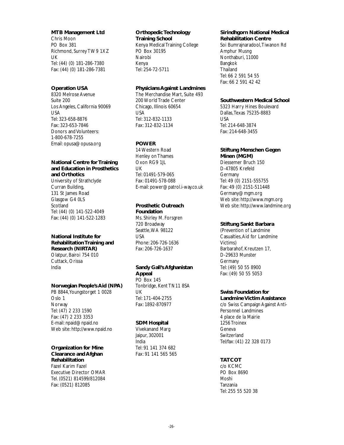#### **MTB Management Ltd**

Chris Moon PO Box 381 Richmond, Surrey TW9 1XZ UK Tel: (44) (0) 181-286-7380 Fax: (44) (0) 181-286-7381

## **Operation USA**

8320 Melrose Avenue Suite 200 Los Angeles, California 90069 USA Tel: 323-658-8876 Fax: 323-653-7846 Donors and Volunteers: 1-800-678-7255 Email: opusa@opusa.org

# **National Centre for Training and Education in Prosthetics and Orthotics**

University of Strathclyde Curran Building, 131 St James Road Glasgow G4 0LS **Scotland** Tel: (44) (0) 141-522-4049 Fax: (44) (0) 141-522-1283

#### **National Institute for Rehabilitation Training and Research (NIRTAR)** Olatpur, Bairoi 754 010 Cuttack, Orissa India

#### **Norwegian People's Aid (NPA)**

PB 8844, Youngstorget 1 0028 Oslo 1 **Norway** Tel: (47) 2 233 1590 Fax: (47) 2 233 3353 E-mail: npaid@npaid.no Web site: http://www.npaid.no

#### **Organization for Mine Clearance and Afghan**

**Rehabilitation** Fazel Karim Fazel Executive Director OMAR Tel. (0521) 814599/812084 Fax: (0521) 812085

#### **Orthopedic Technology Training School**

Kenya Medical Training College PO Box 30195 Nairobi Kenya Tel: 254-72-5711

# **Physicians Against Landmines**

The Merchandise Mart, Suite 493 200 World Trade Center Chicago, Illinois 60654 USA Tel: 312-832-1133 Fax: 312-832-1134

# **POWER**

14 Western Road Henley on Thames Oxon RG9 1JL UK Tel: 01491-579-065 Fax: 01491-578-088 E-mail: power@patrol.i-way.co.uk

# **Prosthetic Outreach**

**Foundation** Ms. Shirley M. Forsgren 720 Broadway Seattle,WA 98122 USA Phone: 206-726-1636 Fax: 206-726-1637

# **Sandy Gall's Afghanistan**

**Appeal** PO Box 145 Tonbridge, Kent TN11 8SA UK Tel: 171-404-2755 Fax: 1892-870977

# **SDM Hospital**

Vivekanand Marg Jaipur, 302001 India Tel: 91 141 374 682 Fax: 91 141 565 565

#### **Sirindhgorn National Medical Rehabilitation Centre**

Soi Bumrajnaradool,Tiwanon Rd Amphur Musng Nonthaburi, 11000 Bangkok **Thailand** Tel: 66 2 591 54 55 Fax: 66 2 591 42 42

### **Southwestern Medical School**

5323 Harry Hines Boulevard Dallas,Texas 75235-8883 USA Tel: 214-648-3874 Fax: 214-648-3455

# **Stiftung Menschen Gegen**

**Minen (MGM)** Diessemer Bruch 150 D-47805 Krefeld Germany Tel: 49 (0) 2151-555755 Fax: 49 (0) 2151-511448 Germany@mgm.org Web site: http://www.mgm.org Web site: http://www.landmine.org

# **Stiftung Sankt Barbara**

(Prevention of Landmine Casualties, Aid for Landmine Victims) Barbarahof, Kreutzen 17, D-29633 Munster **Germany** Tel: (49) 50 55 8900 Fax: (49) 50 55 5053

# **Swiss Foundation for**

**Landmine Victim Assistance** c/o Swiss Campaign Against Anti-Personnel Landmines 4 place de la Mairie 1256 Troinex Geneva **Switzerland** Tel/fax: (41) 22 328 0173

# **TATCOT**

c/o KCMC PO Box 8690 Moshi Tanzania Tel: 255 55 520 38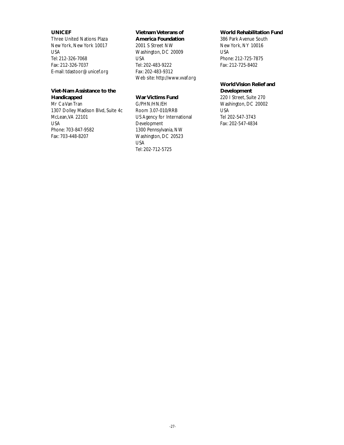## **UNICEF**

**Handicapped** Mr Ca Van Tran

McLean,VA 22101

Phone: 703-847-9582 Fax: 703-448-8207

USA

Three United Nations Plaza New York, New York 10017 USA Tel: 212-326-7068 Fax: 212-326-7037 E-mail: tdastoor@unicef.org

**Viet-Nam Assistance to the**

1307 Dolley Madison Blvd, Suite 4c

# **Vietnam Veterans of**

**America Foundation** 2001 S Street NW Washington, DC 20009 USA Tel: 202-483-9222 Fax: 202-483-9312 Web site: http://www.vvaf.org

# **War Victims Fund**

G/PHN/HN/EH Room 3.07-010/RRB US Agency for International Development 1300 Pennsylvania, NW Washington, DC 20523 USA Tel: 202-712-5725

#### **World Rehabilitation Fund**

386 Park Avenue South New York, NY 10016 USA Phone: 212-725-7875 Fax: 212-725-8402

# **World Vision Relief and**

**Development** 220 I Street, Suite 270 Washington, DC 20002 USA Tel 202-547-3743 Fax: 202-547-4834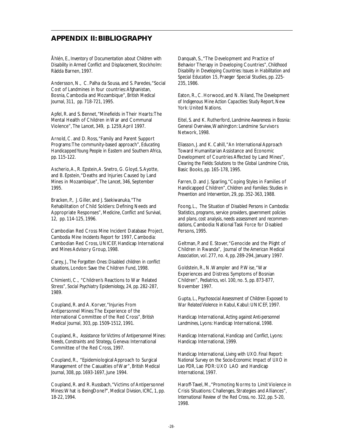# **APPENDIX II: BIBLIOGRAPHY**

Åhlén, E., *Inventory of Documentation about Children with Disability in Armed Conflict and Displacement*, Stockholm: Rädda Barnen, 1997.

Andersson, N., C. Palha da Sousa, and S. Paredes, "Social Cost of Landmines in four countries:Afghanistan, Bosnia, Cambodia and Mozambique", *British Medical Journal*, 311, pp. 718-721, 1995.

Apfel, R. and S. Bennet,"Minefields in Their Hearts:The Mental Health of Children in War and Communal Violence", *The Lancet*, 349, p. 1259,April 1997.

Arnold, C. and D. Ross, "Family and Parent Support Programs:The community-based approach", *Educating Handicapped Young People in Eastern and Southern Africa*, pp. 115-122.

Ascherio,A., R. Epstein,A. Snetro, G. Gloyd, S.Ayotte, and B. Epstein,"Deaths and Injuries Caused by Land Mines in Mozambique", *The Lancet*, 346, September 1995.

Bracken, P., J. Giller, and J. Ssekiwanuka,"The Rehabilitation of Child Soldiers: Defining Needs and Appropriate Responses", *Medicine, Conflict and Survival*, 12, pp. 114-125, 1996.

Cambodian Red Cross Mine Incident Database Project, *Cambodia Mine Incidents Report for 1997*, Cambodia: Cambodian Red Cross, UNICEF, Handicap International and Mines Advisory Group, 1998.

Carey, J., *The Forgotten Ones: Disabled children in conflict situations*, London: Save the Children Fund, 1998.

Chimienti, C., "Children's Reactions to War Related Stress", *Social Psychiatry Epidemiology*, 24, pp. 282-287, 1989.

Coupland, R. and A. Korver,"Injuries From Antipersonnel Mines:The Experience of the International Committee of the Red Cross", *British Medical Journal,* 303, pp. 1509-1512, 1991.

Coupland, R., *Assistance for Victims of Antipersonnel Mines: Needs, Constraints and Strategy*, Geneva: International Committee of the Red Cross, 1997.

Coupland, R., "Epidemiological Approach to Surgical Management of the Casualties of War", *British Medical Journal*, 308, pp. 1693-1697, June 1994.

Coupland, R. and R. Russbach,"Victims of Antipersonnel Mines:What is BeingDone?", *Medical Division, ICRC*, 1, pp. 18-22, 1994.

Danquah, S.,"The Development and Practice of Behavior Therapy in Developing Countries", *Childhood Disability in Developing Countries: Issues in Habilitation and Special Education 15*, Praeger Special Studies, pp. 225- 235, 1986.

Eaton, R., C. Horwood, and N. Niland, *The Development of Indigenous Mine Action Capacities: Study Report*, New York: United Nations.

Eitel, S. and K. Rutherford, *Landmine Awareness in Bosnia: General Overview*,Washington: Landmine Survivors Network, 1998.

Eliasson, J. and K. Cahill,"An International Approach Toward Humanitarian Assistance and Economic Development of Countries Affected by Land Mines", *Clearing the Fields: Solutions to the Global Landmine Crisis*, Basic Books, pp. 165-178, 1995.

Farren, D. and J. Sparling,"Coping Styles in Families of Handicapped Children", *Children and Families: Studies in Prevention and Intervention*, 29, pp. 352-363, 1988.

Foong, L., *The Situation of Disabled Persons in Cambodia: Statistics, programs, service providers, government policies and plans, cost analysis, needs assessment and recommendations*, Cambodia: National Task Force for Disabled Persons, 1995.

Geltman, P. and E. Stover,"Genocide and the Plight of Children in Rwanda", *Journal of the American Medical Association*, vol. 277, no. 4, pp. 289-294, January 1997.

Goldstein, R., N.Wampler and P.Wise,"War Experiences and Distress Symptoms of Bosnian Children", *Pediatrics*, vol. 100, no. 5, pp. 873-877, November 1997.

Gupta, L., *Psychosocial Assessment of Children Exposed to War Related Violence in Kabul*, Kabul: UNICEF, 1997.

Handicap International, *Acting against Anti-personnel Landmines*, Lyons: Handicap International, 1998.

Handicap International, *Handicap and Conflict*, Lyons: Handicap International, 1999.

Handicap International, *Living with UXO. Final Report: National Survey on the Socio-Economic Impact of UXO in Lao PDR*, Lao PDR: UXO LAO and Handicap International, 1997.

Haroff-Tavel, M.,"Promoting Norms to Limit Violence in Crisis Situations: Challenges, Strategies and Alliances", *International Review of the Red Cross*, no. 322, pp. 5-20, 1998.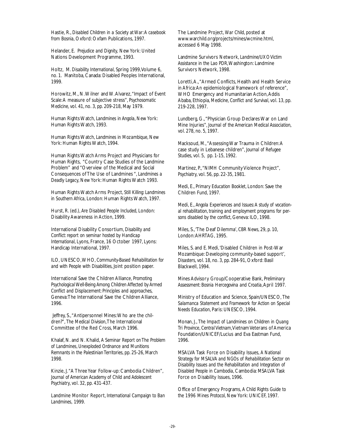Hastie, R., *Disabled Children in a Society at War:A casebook from Bosnia*, Oxford: Oxfam Publications, 1997.

Helander, E. *Prejudice and Dignity,* New York: United Nations Development Programme, 1993.

Holtz, M. *Disability International*, Spring 1999,Volume 6, no. 1. Manitoba, Canada: Disabled Peoples International, 1999.

Horowitz, M., N.Wilner and W.Alvarez,"Impact of Event Scale:A measure of subjective stress", *Psychosomatic Medicine*, vol. 41, no. 3, pp. 209-218, May 1979.

Human Rights Watch, *Landmines in Angola*, New York: Human Rights Watch, 1993.

Human Rights Watch, *Landmines in Mozambique*, New York: Human Rights Watch, 1994.

Human Rights Watch Arms Project and Physicians for Human Rights, "Country Case Studies of the Landmine Problem" and "Overview of the Medical and Social Consequences of The Use of Landmines ", *Landmines a Deadly Legacy*, New York: Human Rights Watch 1993.

Human Rights Watch Arms Project, *Still Killing: Landmines in Southern Africa*, London: Human Rights Watch, 1997.

Hurst, R. (ed.), *Are Disabled People Included*, London: Disability Awareness in Action, 1999.

International Disability Consortium, *Disability and Conflict: report on seminar hosted by Handicap International*, Lyons, France, 16 October 1997, Lyons: Handicap International, 1997.

ILO, UNESCO,WHO, *Community-Based Rehabilitation for and with People with Disabilities*, Joint position paper.

International Save the Children Alliance, *Promoting Psychological Well-Being Among Children Affected by Armed Conflict and Displacement: Principles and approaches*, Geneva:The International Save the Children Alliance, 1996.

Jeffrey, S., "Antipersonnel Mines: Who are the children?", *The Medical Division*,The International Committee of the Red Cross, March 1996.

Khalaf, N. and N. Khalid, *A Seminar Report on The Problem of Landmines, Unexploded Ordnance and Munitions Remnants in the Palestinian Territories*, pp. 25-26, March 1998.

Kinzie, J."A Three Year Follow-up: Cambodia Children", *Journal of American Academy of Child and Adolescent Psychiatry*, vol. 32, pp. 431-437.

Landmine Monitor Report, *International Campaign to Ban Landmines,* 1999.

The Landmine Project, *War Child*, posted at www.warchild.org/projects/mines/wcmine.html, accessed 6 May 1998.

Landmine Survivors Network, *Landmine/UXO Victim Assistance in the Lao PDR*,Washington: Landmine Survivors Network, 1998.

Loretti,A.,"Armed Conflicts, Health and Health Service in Africa:An epidemiological framework of reference", WHO Emergency and Humanitarian Action, Addis Ababa, Ethiopia, *Medicine, Conflict and Survival*, vol. 13, pp. 219-228, 1997.

Lundberg, G.,"Physician Group Declares War on Land Mine Injuries", *Journal of the American Medical Association*, vol. 278, no. 5, 1997.

Macksoud, M.,"Assessing War Trauma in Children:A case study in Lebanese children", *Journal of Refugee Studies*, vol. 5, pp. 1-15, 1992.

Martinez, P., "NIMH Community Violence Project", *Psychiatry*, vol. 56, pp. 22-35, 1981.

Medi, E., *Primary Education Booklet*, London: Save the Children Fund, 1997.

Medi, E., *Angola Experiences and Issues:A study of vocational rehabilitation, training and employment programs for persons disabled by the conflict*, Geneva: ILO, 1998.

Miles, S.,'The Deaf Dilemma', *CBR News*, 29, p. 10, London:AHRTAG, 1995.

Miles, S. and E. Medi,'Disabled Children in Post-War Mozambique: Developing community-based support', *Disasters*, vol. 18, no. 3, pp. 284-91, Oxford: Basil Blackwell, 1994.

Mines Advisory Group/Cooperative Bank, *Preliminary Assessment: Bosnia Hercegovina and Croatia*,April 1997.

Ministry of Education and Science, Spain/UNESCO, *The Salamanca Statement and Framework for Action on Special Needs Education*, Paris: UNESCO, 1994.

Monan, J., *The Impact of Landmines on Children in Quang Tri Province, Central Vietnam*,Vietnam Veterans of America Foundation/UNICEF/Lucius and Eva Eastman Fund, 1996.

MSALVA Task Force on Disability Issues, *A National Strategy for MSALVA and NGOs of Rehabilitation Sector on Disability Issues and the Rehabilitation and Integration of Disabled People in Cambodia*, Cambodia: MSALVA Task Force on Disability Issues, 1996.

Office of Emergency Programs, *A Child Rights Guide to the 1996 Mines Protocol*, New York: UNICEF, 1997.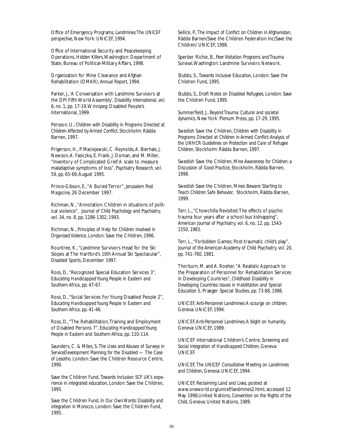Office of Emergency Programs, *Landmines:The UNICEF perspective*, New York: UNICEF, 1994.

Office of International Security and Peacekeeping Operations, *Hidden Killers*,Washington: Department of State, Bureau of Political-Military Affairs, 1998.

Organization for Mine Clearance and Afghan Rehabilitation (OMAR), *Annual Report*, 1994.

Parker, J.,'A Conversation with Landmine Survivors at the DPI Fifth World Assembly', *Disability International*, vol. 6, no. 1, pp. 17-19,Winnipeg: Disabled People's International, 1999.

Persson, U., *Children with Disability in Programs Directed at Children Affected by Armed Conflict*, Stockholm: Rädda Barnen, 1997.

Prigerson, H., P. Maciejewski, C. Reynolds,A. Bierhals, J. Newson,A. Fasiczka, E. Frank, J. Doman, and M. Miller, "Inventory of Complicated Grief:A scale to measure maladaptive symptoms of loss", *Psychiatry Research*, vol. 59, pp. 65-69,August 1995.

Prince-Gibson, E.,"A Buried Terror", *Jerusalem Post Magazine*, 26 December 1997.

Richman, N.,"Annotation: Children in situations of political violence", *Journal of Child Psychology and Psychiatry*, vol. 34, no. 8, pp. 1286-1302, 1993.

Richman, N., *Principles of Help for Children Involved in Organised Violence*, London: Save the Children, 1996.

Rountree, K.,"Landmine Survivors Head for the Ski Slopes at The Hartford's 10th Annual Ski Spectacular", *Disabled Sports*, December 1997.

Ross, D.,"Recognized Special Education Services 3", *Educating Handicapped Young People in Eastern and Southern Africa*, pp. 47-67.

Ross, D.,"Social Services For Young Disabled People 2", *Educating Handicapped Young People in Eastern and Southern Africa*, pp. 41-46.

Ross, D., "The Rehabilitation, Training and Employment of Disabled Persons 7", *Educating Handicapped Young People in Eastern and Southern Africa*, pp. 110-114.

Saunders, C. & Miles, S. *The Uses and Abuses of Surveys in ServiceDevelopment Planning for the Disabled — The Case of Lesotho*. London: Save the Children Resource Centre, 1990.

Save the Children Fund, *Towards Inclusion: SCF UK's experience in integrated education*, London: Save the Children, 1995.

Save the Children Fund, *In Our Own Words: Disability and integration in Morocco*, London: Save the Children Fund, 1995.

Sellick, P., *The Impact of Conflict on Children in Afghanistan*, Rädda Barnen/Save the Children Federation Inc/Save the Children/ UNICEF, 1998.

Sperber Richie, B., *Peer Visitation Programs and Trauma Survival*,Washington: Landmine Survivors Network.

Stubbs, S., *Towards Inclusive Education*, London: Save the Children Fund, 1995.

Stubbs, S., *Draft Notes on Disabled Refugees*, London: Save the Children Fund, 1995.

Summerfield, J., *Beyond Trauma: Cultural and societal dynamics*, New York: Plenum Press, pp. 17-29, 1995.

Swedish Save the Children, *Children with Disability in Programs Directed at Children in Armed Conflict:Analysis of the UNHCR Guidelines on Protection and Care of Refugee Children*, Stockholm: Rädda Barnen, 1997.

Swedish Save the Children, *Mine Awareness for Children: a Discussion of Good Practice*, Stockholm, Rädda Barnen, 1998.

Swedish Save the Children, *Mines Beware: Starting to Teach Children Safe Behavior*, Stockholm, Rädda Barnen, 1999.

Terr, L.,"Chowchilla Revisited:The effects of psychic trauma four years after a school-bus kidnapping", *American Journal of Psychiatry*, vol. 6, no. 12, pp. 1543- 1550, 1983.

Terr, L.,"Forbidden Games: Post-traumatic child's play", *Journal of the American Academy of Child Psychiatry*, vol. 20, pp. 741-760, 1981.

Thorburn, M. and A. Roeher, "A Realistic Approach to the Preparation of Personnel for Rehabilitation Services in Developing Countries", *Childhood Disability in Developing Countries: Issues in Habilitation and Special Education 5*, Praeger Special Studies, pp. 73-88, 1986.

UNICEF, *Anti-Personnel Landmines:A scourge on children*, Geneva: UNICEF, 1994.

UNICEF,A*nti-Personnel Landmines:A blight on humanity*, Geneva: UNICEF, 1989.

UNICEF International Children's Centre, S*creening and Social Integration of Handicapped Children*, Geneva: UNICEF.

UNICEF, *The UNICEF Consultative Meeting on Landmines and Children*, Geneva: UNICEF, 1994.

UNICEF, *Reclaiming Land and Lives*, posted at www.oneworld.org/unicef/landmines2.html, accessed 12 May 1998.United Nations, *Convention on the Rights of the Child*, Geneva: United Nations, 1989.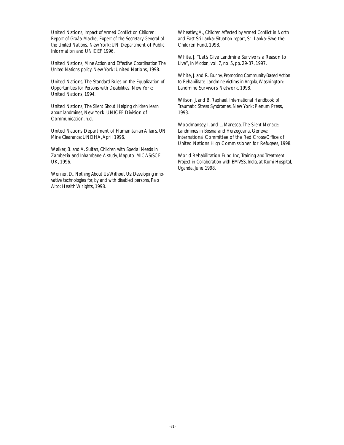United Nations, *Impact of Armed Conflict on Children: Report of Graáa Machel, Expert of the Secretary-General of the United Nations,* New York: UN Department of Public Information and UNICEF, 1996.

United Nations, *Mine Action and Effective Coordination:The United Nations policy*, New York: United Nations, 1998.

United Nations, *The Standard Rules on the Equalization of Opportunities for Persons with Disabilities,* New York: United Nations, 1994.

United Nations, *The Silent Shout: Helping children learn about landmines*, New York: UNICEF Division of Communication, n.d.

United Nations Department of Humanitarian Affairs, *UN Mine Clearance*: UNDHA,April 1996.

Walker, B. and A. Sultan, *Children with Special Needs in Zambezia and Inhambane:A study*, Maputo: MICAS/SCF UK, 1996.

Werner, D., *Nothing About Us Without Us: Developing innovative technologies for, by and with disabled persons*, Palo Alto: Health Wrights, 1998.

Wheatley,A., *Children Affected by Armed Conflict in North and East Sri Lanka: Situation report*, Sri Lanka: Save the Children Fund, 1998.

White, J., "Let's Give Landmine Survivors a Reason to Live", *In Motion*, vol. 7, no. 5, pp. 29-37, 1997.

White, J. and R. Burny, *Promoting Community-Based Action to Rehabilitate Landmine Victims in Angola*,Washington: Landmine Survivors Network, 1998.

Wilson, J. and B. Raphael, *International Handbook of Traumatic Stress Syndromes*, New York: Plenum Press, 1993.

Woodmansey, I. and L. Maresca, *The Silent Menace: Landmines in Bosnia and Herzegovina*, Geneva: International Committee of the Red Cross/Office of United Nations High Commissioner for Refugees, 1998.

World Rehabilitation Fund Inc, *Training and Treatment Project in Collaboration with BMVSS, India, at Kumi Hospital, Uganda*, June 1998.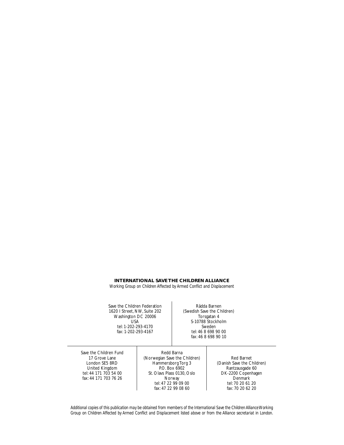#### **INTERNATIONAL SAVE THE CHILDREN ALLIANCE**

*Working Group on Children Affected by Armed Conflict and Displacement*

Save the Children Federation 1620 I Street, NW, Suite 202 Washington DC 20006 USA tel: 1-202-293-4170 fax: 1-202-293-4167

Rädda Barnen (Swedish Save the Children) Torsgatan 4 S-10788 Stockholm Sweden tel: 46 8 698 90 00 fax: 46 8 698 90 10

Save the Children Fund 17 Grove Lane London SE5 8RD United Kingdom tel: 44 171 703 54 00 fax: 44 171 703 76 26

Redd Barna (Norwegian Save the Children) Hammersborg Torg 3 P.O. Box 6902 St. Olavs Plass 0130, Oslo Norway tel: 47 22 99 09 00 fax: 47 22 99 08 60

Red Barnet (Danish Save the Children) Rantzausgade 60 DK-2200 Copenhagen **Denmark** tel: 70 20 61 20 fax: 70 20 62 20

*Additional copies of this publication may be obtained from members of the International Save the Children Alliance Working Group on Children Affected by Armed Conflict and Displacement listed above or from the Alliance secretariat in London.*